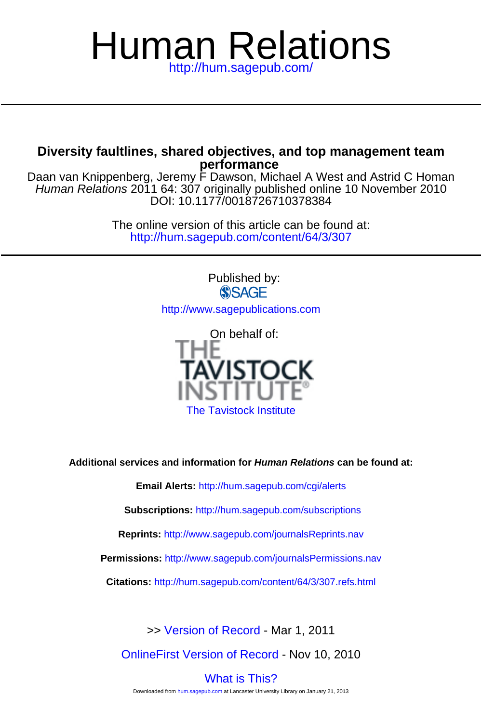# Human Relations <http://hum.sagepub.com/>

# **performance Diversity faultlines, shared objectives, and top management team**

DOI: 10.1177/0018726710378384 Human Relations 2011 64: 307 originally published online 10 November 2010 Daan van Knippenberg, Jeremy F Dawson, Michael A West and Astrid C Homan

> <http://hum.sagepub.com/content/64/3/307> The online version of this article can be found at:

> > Published by:<br>
> > SAGE <http://www.sagepublications.com>



**Additional services and information for Human Relations can be found at:**

**Email Alerts:** <http://hum.sagepub.com/cgi/alerts>

**Subscriptions:** <http://hum.sagepub.com/subscriptions>

**Reprints:** <http://www.sagepub.com/journalsReprints.nav>

**Permissions:** <http://www.sagepub.com/journalsPermissions.nav>

**Citations:** <http://hum.sagepub.com/content/64/3/307.refs.html>

[OnlineFirst Version of Record](http://hum.sagepub.com/content/early/2010/11/04/0018726710378384.full.pdf) - Nov 10, 2010 >> [Version of Record -](http://hum.sagepub.com/content/64/3/307.full.pdf) Mar 1, 2011

[What is This?](http://online.sagepub.com/site/sphelp/vorhelp.xhtml) Downloaded from [hum.sagepub.com](http://hum.sagepub.com/) at Lancaster University Library on January 21, 2013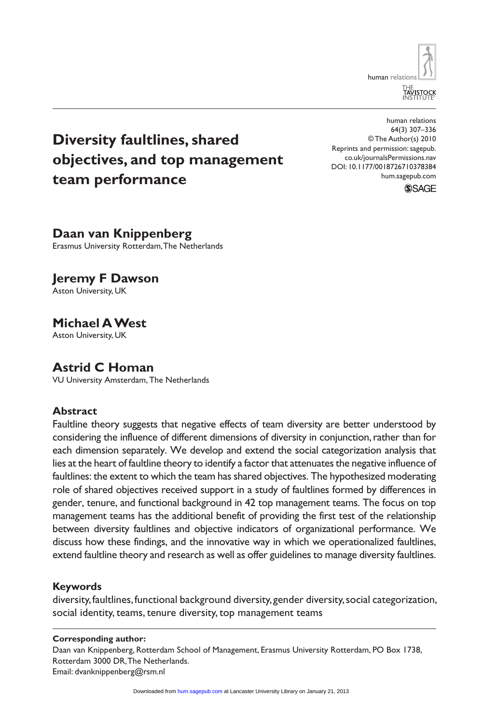

# **Diversity faultlines, shared objectives, and top management team performance**

human relations 64(3) 307–336 © The Author(s) 2010 Reprints and permission: sagepub. co.uk/journalsPermissions.nav DOI: 10.1177/0018726710378384 hum.sagepub.com

**SSAGF** 

# **Daan van Knippenberg**

Erasmus University Rotterdam, The Netherlands

# **Jeremy F Dawson**

Aston University, UK

# **Michael A West**

Aston University, UK

# **Astrid C Homan**

VU University Amsterdam, The Netherlands

### **Abstract**

Faultline theory suggests that negative effects of team diversity are better understood by considering the influence of different dimensions of diversity in conjunction, rather than for each dimension separately. We develop and extend the social categorization analysis that lies at the heart of faultline theory to identify a factor that attenuates the negative influence of faultlines: the extent to which the team has shared objectives. The hypothesized moderating role of shared objectives received support in a study of faultlines formed by differences in gender, tenure, and functional background in 42 top management teams. The focus on top management teams has the additional benefit of providing the first test of the relationship between diversity faultlines and objective indicators of organizational performance. We discuss how these findings, and the innovative way in which we operationalized faultlines, extend faultline theory and research as well as offer guidelines to manage diversity faultlines.

#### **Keywords**

diversity, faultlines, functional background diversity, gender diversity, social categorization, social identity, teams, tenure diversity, top management teams

#### **Corresponding author:**

Daan van Knippenberg, Rotterdam School of Management, Erasmus University Rotterdam, PO Box 1738, Rotterdam 3000 DR, The Netherlands. Email: dvanknippenberg@rsm.nl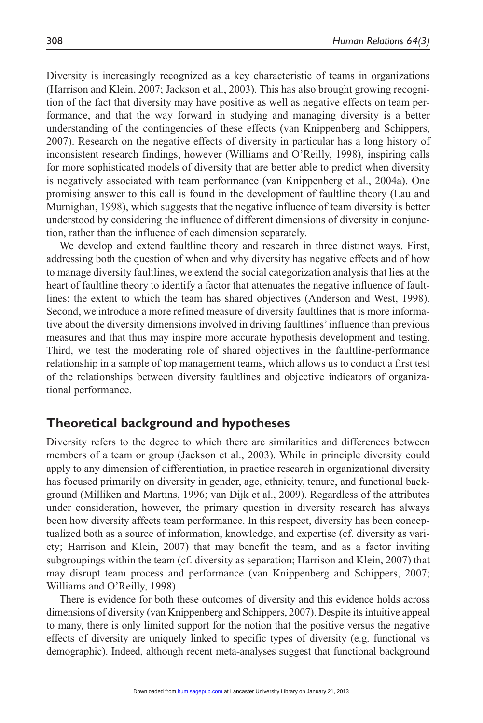Diversity is increasingly recognized as a key characteristic of teams in organizations (Harrison and Klein, 2007; Jackson et al., 2003). This has also brought growing recognition of the fact that diversity may have positive as well as negative effects on team performance, and that the way forward in studying and managing diversity is a better understanding of the contingencies of these effects (van Knippenberg and Schippers, 2007). Research on the negative effects of diversity in particular has a long history of inconsistent research findings, however (Williams and O'Reilly, 1998), inspiring calls for more sophisticated models of diversity that are better able to predict when diversity is negatively associated with team performance (van Knippenberg et al., 2004a). One promising answer to this call is found in the development of faultline theory (Lau and Murnighan, 1998), which suggests that the negative influence of team diversity is better understood by considering the influence of different dimensions of diversity in conjunction, rather than the influence of each dimension separately.

We develop and extend faultline theory and research in three distinct ways. First, addressing both the question of when and why diversity has negative effects and of how to manage diversity faultlines, we extend the social categorization analysis that lies at the heart of faultline theory to identify a factor that attenuates the negative influence of faultlines: the extent to which the team has shared objectives (Anderson and West, 1998). Second, we introduce a more refined measure of diversity faultlines that is more informative about the diversity dimensions involved in driving faultlines' influence than previous measures and that thus may inspire more accurate hypothesis development and testing. Third, we test the moderating role of shared objectives in the faultline-performance relationship in a sample of top management teams, which allows us to conduct a first test of the relationships between diversity faultlines and objective indicators of organizational performance.

#### **Theoretical background and hypotheses**

Diversity refers to the degree to which there are similarities and differences between members of a team or group (Jackson et al., 2003). While in principle diversity could apply to any dimension of differentiation, in practice research in organizational diversity has focused primarily on diversity in gender, age, ethnicity, tenure, and functional background (Milliken and Martins, 1996; van Dijk et al., 2009). Regardless of the attributes under consideration, however, the primary question in diversity research has always been how diversity affects team performance. In this respect, diversity has been conceptualized both as a source of information, knowledge, and expertise (cf. diversity as variety; Harrison and Klein, 2007) that may benefit the team, and as a factor inviting subgroupings within the team (cf. diversity as separation; Harrison and Klein, 2007) that may disrupt team process and performance (van Knippenberg and Schippers, 2007; Williams and O'Reilly, 1998).

There is evidence for both these outcomes of diversity and this evidence holds across dimensions of diversity (van Knippenberg and Schippers, 2007). Despite its intuitive appeal to many, there is only limited support for the notion that the positive versus the negative effects of diversity are uniquely linked to specific types of diversity (e.g. functional vs demographic). Indeed, although recent meta-analyses suggest that functional background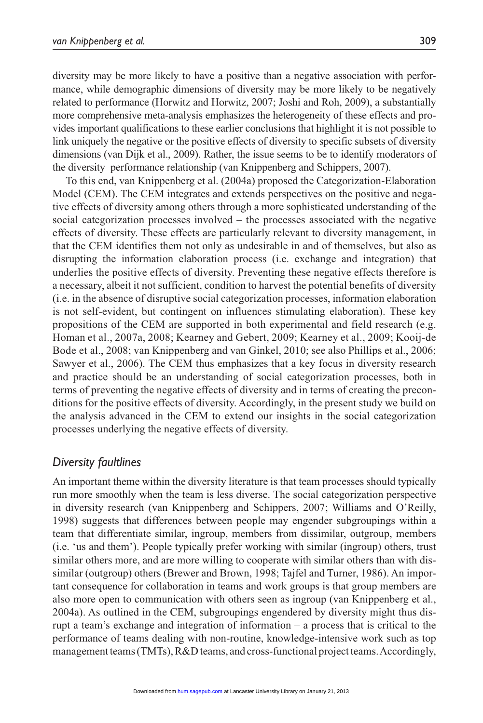diversity may be more likely to have a positive than a negative association with performance, while demographic dimensions of diversity may be more likely to be negatively related to performance (Horwitz and Horwitz, 2007; Joshi and Roh, 2009), a substantially more comprehensive meta-analysis emphasizes the heterogeneity of these effects and provides important qualifications to these earlier conclusions that highlight it is not possible to link uniquely the negative or the positive effects of diversity to specific subsets of diversity dimensions (van Dijk et al., 2009). Rather, the issue seems to be to identify moderators of the diversity–performance relationship (van Knippenberg and Schippers, 2007).

To this end, van Knippenberg et al. (2004a) proposed the Categorization-Elaboration Model (CEM). The CEM integrates and extends perspectives on the positive and negative effects of diversity among others through a more sophisticated understanding of the social categorization processes involved – the processes associated with the negative effects of diversity. These effects are particularly relevant to diversity management, in that the CEM identifies them not only as undesirable in and of themselves, but also as disrupting the information elaboration process (i.e. exchange and integration) that underlies the positive effects of diversity. Preventing these negative effects therefore is a necessary, albeit it not sufficient, condition to harvest the potential benefits of diversity (i.e. in the absence of disruptive social categorization processes, information elaboration is not self-evident, but contingent on influences stimulating elaboration). These key propositions of the CEM are supported in both experimental and field research (e.g. Homan et al., 2007a, 2008; Kearney and Gebert, 2009; Kearney et al., 2009; Kooij-de Bode et al., 2008; van Knippenberg and van Ginkel, 2010; see also Phillips et al., 2006; Sawyer et al., 2006). The CEM thus emphasizes that a key focus in diversity research and practice should be an understanding of social categorization processes, both in terms of preventing the negative effects of diversity and in terms of creating the preconditions for the positive effects of diversity. Accordingly, in the present study we build on the analysis advanced in the CEM to extend our insights in the social categorization processes underlying the negative effects of diversity.

### *Diversity faultlines*

An important theme within the diversity literature is that team processes should typically run more smoothly when the team is less diverse. The social categorization perspective in diversity research (van Knippenberg and Schippers, 2007; Williams and O'Reilly, 1998) suggests that differences between people may engender subgroupings within a team that differentiate similar, ingroup, members from dissimilar, outgroup, members (i.e. 'us and them'). People typically prefer working with similar (ingroup) others, trust similar others more, and are more willing to cooperate with similar others than with dissimilar (outgroup) others (Brewer and Brown, 1998; Tajfel and Turner, 1986). An important consequence for collaboration in teams and work groups is that group members are also more open to communication with others seen as ingroup (van Knippenberg et al., 2004a). As outlined in the CEM, subgroupings engendered by diversity might thus disrupt a team's exchange and integration of information – a process that is critical to the performance of teams dealing with non-routine, knowledge-intensive work such as top management teams (TMTs), R&D teams, and cross-functional project teams. Accordingly,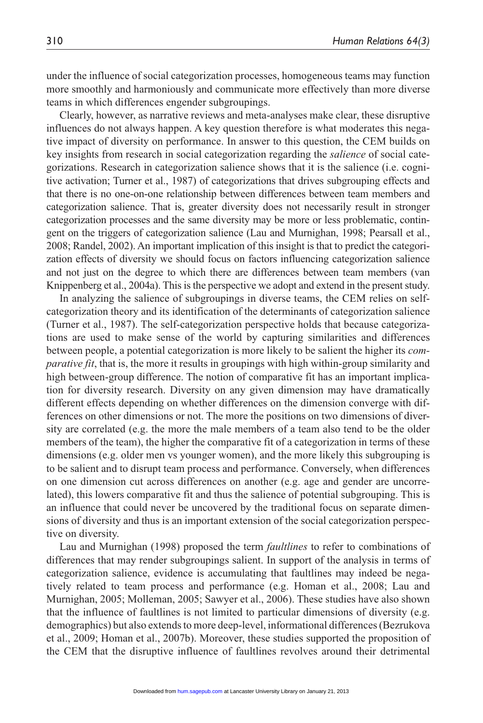under the influence of social categorization processes, homogeneous teams may function more smoothly and harmoniously and communicate more effectively than more diverse teams in which differences engender subgroupings.

Clearly, however, as narrative reviews and meta-analyses make clear, these disruptive influences do not always happen. A key question therefore is what moderates this negative impact of diversity on performance. In answer to this question, the CEM builds on key insights from research in social categorization regarding the *salience* of social categorizations. Research in categorization salience shows that it is the salience (i.e. cognitive activation; Turner et al., 1987) of categorizations that drives subgrouping effects and that there is no one-on-one relationship between differences between team members and categorization salience. That is, greater diversity does not necessarily result in stronger categorization processes and the same diversity may be more or less problematic, contingent on the triggers of categorization salience (Lau and Murnighan, 1998; Pearsall et al., 2008; Randel, 2002). An important implication of this insight is that to predict the categorization effects of diversity we should focus on factors influencing categorization salience and not just on the degree to which there are differences between team members (van Knippenberg et al., 2004a). This is the perspective we adopt and extend in the present study.

In analyzing the salience of subgroupings in diverse teams, the CEM relies on selfcategorization theory and its identification of the determinants of categorization salience (Turner et al., 1987). The self-categorization perspective holds that because categorizations are used to make sense of the world by capturing similarities and differences between people, a potential categorization is more likely to be salient the higher its *comparative fit*, that is, the more it results in groupings with high within-group similarity and high between-group difference. The notion of comparative fit has an important implication for diversity research. Diversity on any given dimension may have dramatically different effects depending on whether differences on the dimension converge with differences on other dimensions or not. The more the positions on two dimensions of diversity are correlated (e.g. the more the male members of a team also tend to be the older members of the team), the higher the comparative fit of a categorization in terms of these dimensions (e.g. older men vs younger women), and the more likely this subgrouping is to be salient and to disrupt team process and performance. Conversely, when differences on one dimension cut across differences on another (e.g. age and gender are uncorrelated), this lowers comparative fit and thus the salience of potential subgrouping. This is an influence that could never be uncovered by the traditional focus on separate dimensions of diversity and thus is an important extension of the social categorization perspective on diversity.

Lau and Murnighan (1998) proposed the term *faultlines* to refer to combinations of differences that may render subgroupings salient. In support of the analysis in terms of categorization salience, evidence is accumulating that faultlines may indeed be negatively related to team process and performance (e.g. Homan et al., 2008; Lau and Murnighan, 2005; Molleman, 2005; Sawyer et al., 2006). These studies have also shown that the influence of faultlines is not limited to particular dimensions of diversity (e.g. demographics) but also extends to more deep-level, informational differences (Bezrukova et al., 2009; Homan et al., 2007b). Moreover, these studies supported the proposition of the CEM that the disruptive influence of faultlines revolves around their detrimental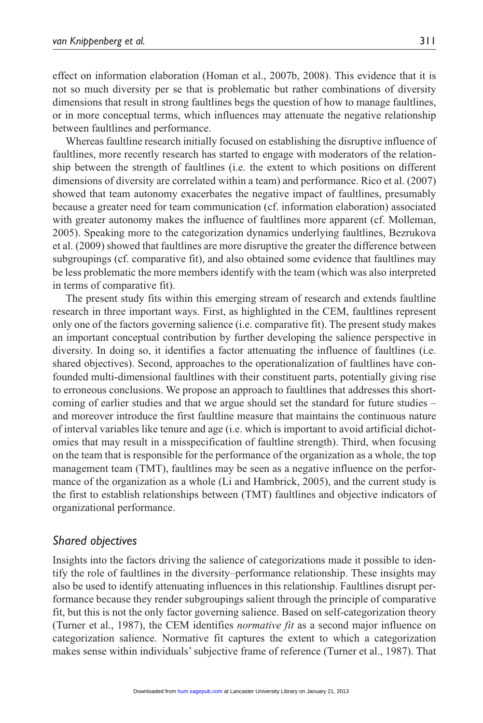effect on information elaboration (Homan et al., 2007b, 2008). This evidence that it is not so much diversity per se that is problematic but rather combinations of diversity dimensions that result in strong faultlines begs the question of how to manage faultlines, or in more conceptual terms, which influences may attenuate the negative relationship between faultlines and performance.

Whereas faultline research initially focused on establishing the disruptive influence of faultlines, more recently research has started to engage with moderators of the relationship between the strength of faultlines (i.e. the extent to which positions on different dimensions of diversity are correlated within a team) and performance. Rico et al. (2007) showed that team autonomy exacerbates the negative impact of faultlines, presumably because a greater need for team communication (cf. information elaboration) associated with greater autonomy makes the influence of faultlines more apparent (cf. Molleman, 2005). Speaking more to the categorization dynamics underlying faultlines, Bezrukova et al. (2009) showed that faultlines are more disruptive the greater the difference between subgroupings (cf. comparative fit), and also obtained some evidence that faultlines may be less problematic the more members identify with the team (which was also interpreted in terms of comparative fit).

The present study fits within this emerging stream of research and extends faultline research in three important ways. First, as highlighted in the CEM, faultlines represent only one of the factors governing salience (i.e. comparative fit). The present study makes an important conceptual contribution by further developing the salience perspective in diversity. In doing so, it identifies a factor attenuating the influence of faultlines (i.e. shared objectives). Second, approaches to the operationalization of faultlines have confounded multi-dimensional faultlines with their constituent parts, potentially giving rise to erroneous conclusions. We propose an approach to faultlines that addresses this shortcoming of earlier studies and that we argue should set the standard for future studies – and moreover introduce the first faultline measure that maintains the continuous nature of interval variables like tenure and age (i.e. which is important to avoid artificial dichotomies that may result in a misspecification of faultline strength). Third, when focusing on the team that is responsible for the performance of the organization as a whole, the top management team (TMT), faultlines may be seen as a negative influence on the performance of the organization as a whole (Li and Hambrick, 2005), and the current study is the first to establish relationships between (TMT) faultlines and objective indicators of organizational performance.

#### *Shared objectives*

Insights into the factors driving the salience of categorizations made it possible to identify the role of faultlines in the diversity–performance relationship. These insights may also be used to identify attenuating influences in this relationship. Faultlines disrupt performance because they render subgroupings salient through the principle of comparative fit, but this is not the only factor governing salience. Based on self-categorization theory (Turner et al., 1987), the CEM identifies *normative fit* as a second major influence on categorization salience. Normative fit captures the extent to which a categorization makes sense within individuals' subjective frame of reference (Turner et al., 1987). That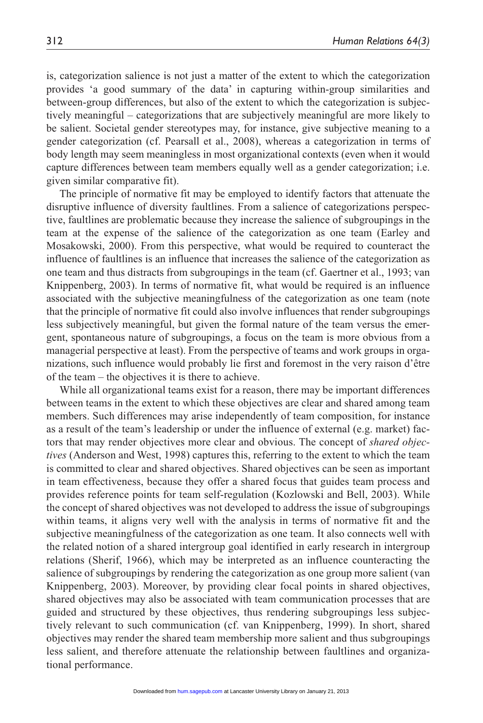is, categorization salience is not just a matter of the extent to which the categorization provides 'a good summary of the data' in capturing within-group similarities and between-group differences, but also of the extent to which the categorization is subjectively meaningful – categorizations that are subjectively meaningful are more likely to be salient. Societal gender stereotypes may, for instance, give subjective meaning to a gender categorization (cf. Pearsall et al., 2008), whereas a categorization in terms of body length may seem meaningless in most organizational contexts (even when it would capture differences between team members equally well as a gender categorization; i.e. given similar comparative fit).

The principle of normative fit may be employed to identify factors that attenuate the disruptive influence of diversity faultlines. From a salience of categorizations perspective, faultlines are problematic because they increase the salience of subgroupings in the team at the expense of the salience of the categorization as one team (Earley and Mosakowski, 2000). From this perspective, what would be required to counteract the influence of faultlines is an influence that increases the salience of the categorization as one team and thus distracts from subgroupings in the team (cf. Gaertner et al., 1993; van Knippenberg, 2003). In terms of normative fit, what would be required is an influence associated with the subjective meaningfulness of the categorization as one team (note that the principle of normative fit could also involve influences that render subgroupings less subjectively meaningful, but given the formal nature of the team versus the emergent, spontaneous nature of subgroupings, a focus on the team is more obvious from a managerial perspective at least). From the perspective of teams and work groups in organizations, such influence would probably lie first and foremost in the very raison d'être of the team – the objectives it is there to achieve.

While all organizational teams exist for a reason, there may be important differences between teams in the extent to which these objectives are clear and shared among team members. Such differences may arise independently of team composition, for instance as a result of the team's leadership or under the influence of external (e.g. market) factors that may render objectives more clear and obvious. The concept of *shared objectives* (Anderson and West, 1998) captures this, referring to the extent to which the team is committed to clear and shared objectives. Shared objectives can be seen as important in team effectiveness, because they offer a shared focus that guides team process and provides reference points for team self-regulation (Kozlowski and Bell, 2003). While the concept of shared objectives was not developed to address the issue of subgroupings within teams, it aligns very well with the analysis in terms of normative fit and the subjective meaningfulness of the categorization as one team. It also connects well with the related notion of a shared intergroup goal identified in early research in intergroup relations (Sherif, 1966), which may be interpreted as an influence counteracting the salience of subgroupings by rendering the categorization as one group more salient (van Knippenberg, 2003). Moreover, by providing clear focal points in shared objectives, shared objectives may also be associated with team communication processes that are guided and structured by these objectives, thus rendering subgroupings less subjectively relevant to such communication (cf. van Knippenberg, 1999). In short, shared objectives may render the shared team membership more salient and thus subgroupings less salient, and therefore attenuate the relationship between faultlines and organizational performance.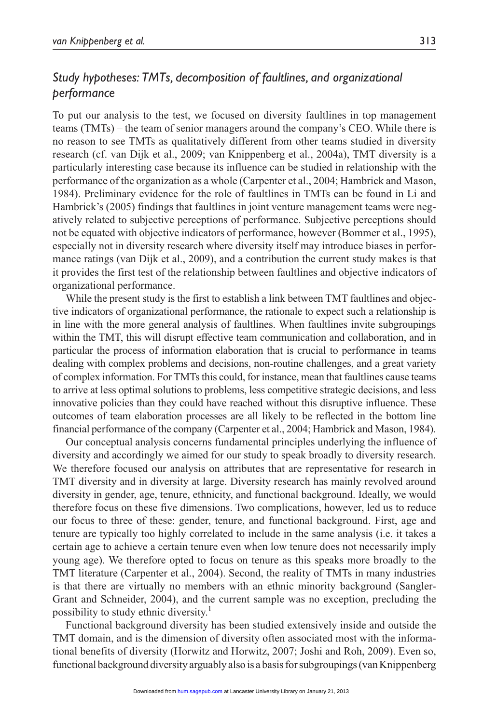# *Study hypotheses: TMTs, decomposition of faultlines, and organizational performance*

To put our analysis to the test, we focused on diversity faultlines in top management teams (TMTs) – the team of senior managers around the company's CEO. While there is no reason to see TMTs as qualitatively different from other teams studied in diversity research (cf. van Dijk et al., 2009; van Knippenberg et al., 2004a), TMT diversity is a particularly interesting case because its influence can be studied in relationship with the performance of the organization as a whole (Carpenter et al., 2004; Hambrick and Mason, 1984). Preliminary evidence for the role of faultlines in TMTs can be found in Li and Hambrick's (2005) findings that faultlines in joint venture management teams were negatively related to subjective perceptions of performance. Subjective perceptions should not be equated with objective indicators of performance, however (Bommer et al., 1995), especially not in diversity research where diversity itself may introduce biases in performance ratings (van Dijk et al., 2009), and a contribution the current study makes is that it provides the first test of the relationship between faultlines and objective indicators of organizational performance.

While the present study is the first to establish a link between TMT faultlines and objective indicators of organizational performance, the rationale to expect such a relationship is in line with the more general analysis of faultlines. When faultlines invite subgroupings within the TMT, this will disrupt effective team communication and collaboration, and in particular the process of information elaboration that is crucial to performance in teams dealing with complex problems and decisions, non-routine challenges, and a great variety of complex information. For TMTs this could, for instance, mean that faultlines cause teams to arrive at less optimal solutions to problems, less competitive strategic decisions, and less innovative policies than they could have reached without this disruptive influence. These outcomes of team elaboration processes are all likely to be reflected in the bottom line financial performance of the company (Carpenter et al., 2004; Hambrick and Mason, 1984).

Our conceptual analysis concerns fundamental principles underlying the influence of diversity and accordingly we aimed for our study to speak broadly to diversity research. We therefore focused our analysis on attributes that are representative for research in TMT diversity and in diversity at large. Diversity research has mainly revolved around diversity in gender, age, tenure, ethnicity, and functional background. Ideally, we would therefore focus on these five dimensions. Two complications, however, led us to reduce our focus to three of these: gender, tenure, and functional background. First, age and tenure are typically too highly correlated to include in the same analysis (i.e. it takes a certain age to achieve a certain tenure even when low tenure does not necessarily imply young age). We therefore opted to focus on tenure as this speaks more broadly to the TMT literature (Carpenter et al., 2004). Second, the reality of TMTs in many industries is that there are virtually no members with an ethnic minority background (Sangler-Grant and Schneider, 2004), and the current sample was no exception, precluding the possibility to study ethnic diversity.<sup>1</sup>

Functional background diversity has been studied extensively inside and outside the TMT domain, and is the dimension of diversity often associated most with the informational benefits of diversity (Horwitz and Horwitz, 2007; Joshi and Roh, 2009). Even so, functional background diversity arguably also is a basis for subgroupings (van Knippenberg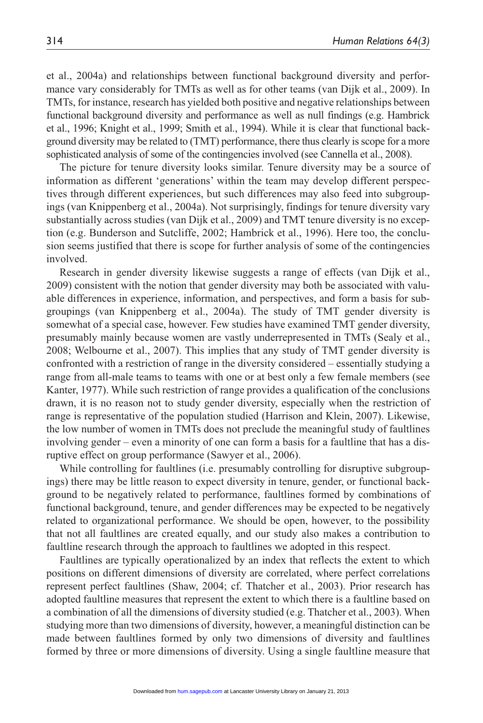et al., 2004a) and relationships between functional background diversity and performance vary considerably for TMTs as well as for other teams (van Dijk et al., 2009). In TMTs, for instance, research has yielded both positive and negative relationships between functional background diversity and performance as well as null findings (e.g. Hambrick et al., 1996; Knight et al., 1999; Smith et al., 1994). While it is clear that functional background diversity may be related to (TMT) performance, there thus clearly is scope for a more sophisticated analysis of some of the contingencies involved (see Cannella et al., 2008).

The picture for tenure diversity looks similar. Tenure diversity may be a source of information as different 'generations' within the team may develop different perspectives through different experiences, but such differences may also feed into subgroupings (van Knippenberg et al., 2004a). Not surprisingly, findings for tenure diversity vary substantially across studies (van Dijk et al., 2009) and TMT tenure diversity is no exception (e.g. Bunderson and Sutcliffe, 2002; Hambrick et al., 1996). Here too, the conclusion seems justified that there is scope for further analysis of some of the contingencies involved.

Research in gender diversity likewise suggests a range of effects (van Dijk et al., 2009) consistent with the notion that gender diversity may both be associated with valuable differences in experience, information, and perspectives, and form a basis for subgroupings (van Knippenberg et al., 2004a). The study of TMT gender diversity is somewhat of a special case, however. Few studies have examined TMT gender diversity, presumably mainly because women are vastly underrepresented in TMTs (Sealy et al., 2008; Welbourne et al., 2007). This implies that any study of TMT gender diversity is confronted with a restriction of range in the diversity considered – essentially studying a range from all-male teams to teams with one or at best only a few female members (see Kanter, 1977). While such restriction of range provides a qualification of the conclusions drawn, it is no reason not to study gender diversity, especially when the restriction of range is representative of the population studied (Harrison and Klein, 2007). Likewise, the low number of women in TMTs does not preclude the meaningful study of faultlines involving gender – even a minority of one can form a basis for a faultline that has a disruptive effect on group performance (Sawyer et al., 2006).

While controlling for faultlines (i.e. presumably controlling for disruptive subgroupings) there may be little reason to expect diversity in tenure, gender, or functional background to be negatively related to performance, faultlines formed by combinations of functional background, tenure, and gender differences may be expected to be negatively related to organizational performance. We should be open, however, to the possibility that not all faultlines are created equally, and our study also makes a contribution to faultline research through the approach to faultlines we adopted in this respect.

Faultlines are typically operationalized by an index that reflects the extent to which positions on different dimensions of diversity are correlated, where perfect correlations represent perfect faultlines (Shaw, 2004; cf. Thatcher et al., 2003). Prior research has adopted faultline measures that represent the extent to which there is a faultline based on a combination of all the dimensions of diversity studied (e.g. Thatcher et al., 2003). When studying more than two dimensions of diversity, however, a meaningful distinction can be made between faultlines formed by only two dimensions of diversity and faultlines formed by three or more dimensions of diversity. Using a single faultline measure that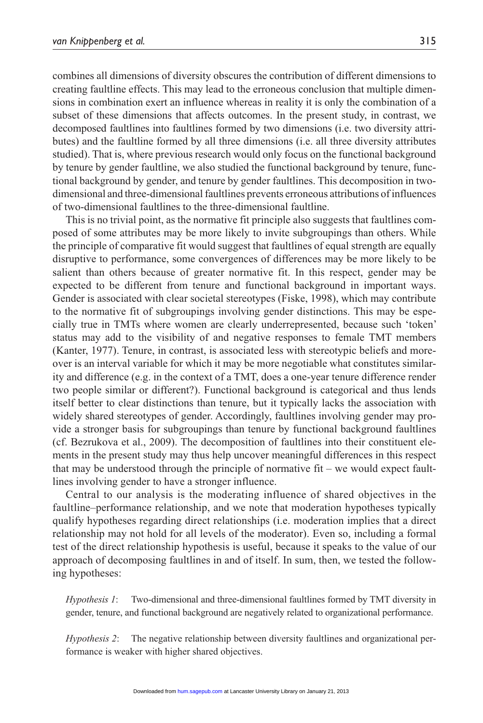combines all dimensions of diversity obscures the contribution of different dimensions to creating faultline effects. This may lead to the erroneous conclusion that multiple dimensions in combination exert an influence whereas in reality it is only the combination of a subset of these dimensions that affects outcomes. In the present study, in contrast, we decomposed faultlines into faultlines formed by two dimensions (i.e. two diversity attributes) and the faultline formed by all three dimensions (i.e. all three diversity attributes studied). That is, where previous research would only focus on the functional background by tenure by gender faultline, we also studied the functional background by tenure, functional background by gender, and tenure by gender faultlines. This decomposition in twodimensional and three-dimensional faultlines prevents erroneous attributions of influences of two-dimensional faultlines to the three-dimensional faultline.

This is no trivial point, as the normative fit principle also suggests that faultlines composed of some attributes may be more likely to invite subgroupings than others. While the principle of comparative fit would suggest that faultlines of equal strength are equally disruptive to performance, some convergences of differences may be more likely to be salient than others because of greater normative fit. In this respect, gender may be expected to be different from tenure and functional background in important ways. Gender is associated with clear societal stereotypes (Fiske, 1998), which may contribute to the normative fit of subgroupings involving gender distinctions. This may be especially true in TMTs where women are clearly underrepresented, because such 'token' status may add to the visibility of and negative responses to female TMT members (Kanter, 1977). Tenure, in contrast, is associated less with stereotypic beliefs and moreover is an interval variable for which it may be more negotiable what constitutes similarity and difference (e.g. in the context of a TMT, does a one-year tenure difference render two people similar or different?). Functional background is categorical and thus lends itself better to clear distinctions than tenure, but it typically lacks the association with widely shared stereotypes of gender. Accordingly, faultlines involving gender may provide a stronger basis for subgroupings than tenure by functional background faultlines (cf. Bezrukova et al., 2009). The decomposition of faultlines into their constituent elements in the present study may thus help uncover meaningful differences in this respect that may be understood through the principle of normative fit – we would expect faultlines involving gender to have a stronger influence.

Central to our analysis is the moderating influence of shared objectives in the faultline–performance relationship, and we note that moderation hypotheses typically qualify hypotheses regarding direct relationships (i.e. moderation implies that a direct relationship may not hold for all levels of the moderator). Even so, including a formal test of the direct relationship hypothesis is useful, because it speaks to the value of our approach of decomposing faultlines in and of itself. In sum, then, we tested the following hypotheses:

*Hypothesis 1*: Two-dimensional and three-dimensional faultlines formed by TMT diversity in gender, tenure, and functional background are negatively related to organizational performance.

*Hypothesis 2*: The negative relationship between diversity faultlines and organizational performance is weaker with higher shared objectives.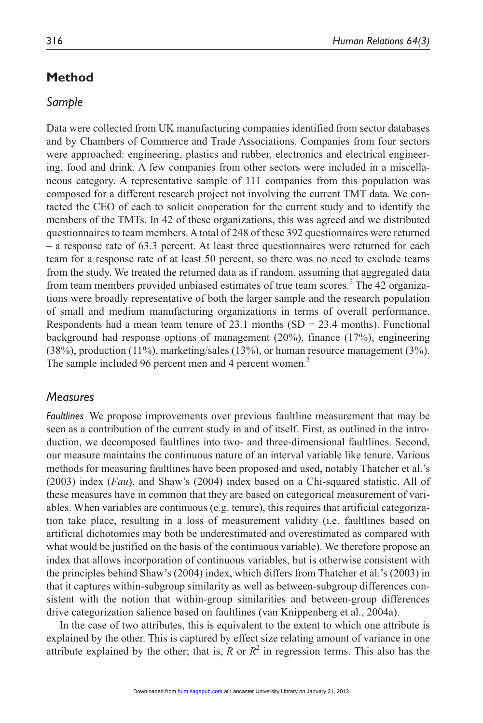# **Method**

### *Sample*

Data were collected from UK manufacturing companies identified from sector databases and by Chambers of Commerce and Trade Associations. Companies from four sectors were approached: engineering, plastics and rubber, electronics and electrical engineering, food and drink. A few companies from other sectors were included in a miscellaneous category. A representative sample of 111 companies from this population was composed for a different research project not involving the current TMT data. We contacted the CEO of each to solicit cooperation for the current study and to identify the members of the TMTs. In 42 of these organizations, this was agreed and we distributed questionnaires to team members. A total of 248 of these 392 questionnaires were returned – a response rate of 63.3 percent. At least three questionnaires were returned for each team for a response rate of at least 50 percent, so there was no need to exclude teams from the study. We treated the returned data as if random, assuming that aggregated data from team members provided unbiased estimates of true team scores.<sup>2</sup> The 42 organizations were broadly representative of both the larger sample and the research population of small and medium manufacturing organizations in terms of overall performance. Respondents had a mean team tenure of 23.1 months (SD = 23.4 months). Functional background had response options of management (20%), finance (17%), engineering  $(38\%)$ , production  $(11\%)$ , marketing/sales  $(13\%)$ , or human resource management  $(3\%)$ . The sample included 96 percent men and 4 percent women.<sup>3</sup>

#### *Measures*

*Faultlines* We propose improvements over previous faultline measurement that may be seen as a contribution of the current study in and of itself. First, as outlined in the introduction, we decomposed faultlines into two- and three-dimensional faultlines. Second, our measure maintains the continuous nature of an interval variable like tenure. Various methods for measuring faultlines have been proposed and used, notably Thatcher et al.'s (2003) index (*Fau*), and Shaw's (2004) index based on a Chi-squared statistic. All of these measures have in common that they are based on categorical measurement of variables. When variables are continuous (e.g. tenure), this requires that artificial categorization take place, resulting in a loss of measurement validity (i.e. faultlines based on artificial dichotomies may both be underestimated and overestimated as compared with what would be justified on the basis of the continuous variable). We therefore propose an index that allows incorporation of continuous variables, but is otherwise consistent with the principles behind Shaw's (2004) index, which differs from Thatcher et al.'s (2003) in that it captures within-subgroup similarity as well as between-subgroup differences consistent with the notion that within-group similarities and between-group differences drive categorization salience based on faultlines (van Knippenberg et al., 2004a).

In the case of two attributes, this is equivalent to the extent to which one attribute is explained by the other. This is captured by effect size relating amount of variance in one attribute explained by the other; that is,  $R$  or  $R^2$  in regression terms. This also has the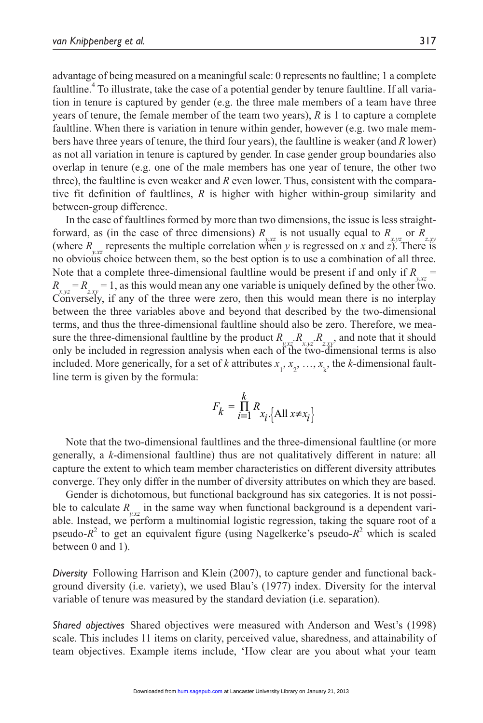advantage of being measured on a meaningful scale: 0 represents no faultline; 1 a complete faultline.<sup>4</sup> To illustrate, take the case of a potential gender by tenure faultline. If all variation in tenure is captured by gender (e.g. the three male members of a team have three years of tenure, the female member of the team two years), *R* is 1 to capture a complete faultline. When there is variation in tenure within gender, however (e.g. two male members have three years of tenure, the third four years), the faultline is weaker (and *R* lower) as not all variation in tenure is captured by gender. In case gender group boundaries also overlap in tenure (e.g. one of the male members has one year of tenure, the other two three), the faultline is even weaker and *R* even lower. Thus, consistent with the comparative fit definition of faultlines, *R* is higher with higher within-group similarity and between-group difference.

In the case of faultlines formed by more than two dimensions, the issue is less straightforward, as (in the case of three dimensions)  $R_{y.xz}$  is not usually equal to  $R_{x,yz}$  or  $R_{z,y}$ (where  $R_{y, xz}$  represents the multiple correlation when *y* is regressed on *x* and *z*). There is no obvious choice between them, so the best option is to use a combination of all three. Note that a complete three-dimensional faultline would be present if and only if  $R_{xyz}$  =  $R_{x,yz} = R_{z,xy} = 1$ , as this would mean any one variable is uniquely defined by the other two. Conversely, if any of the three were zero, then this would mean there is no interplay between the three variables above and beyond that described by the two-dimensional terms, and thus the three-dimensional faultline should also be zero. Therefore, we measure the three-dimensional faultline by the product  $R_{y,xz} R_{x,yz} R_{z,y}$ , and note that it should only be included in regression analysis when each of the two-dimensional terms is also included. More generically, for a set of *k* attributes  $x_1, x_2, ..., x_k$ , the *k*-dimensional faultline term is given by the formula:

$$
F_k = \prod_{i=1}^k R_{x_i} \text{All } x \neq x_i
$$

Note that the two-dimensional faultlines and the three-dimensional faultline (or more generally, a *k*-dimensional faultline) thus are not qualitatively different in nature: all capture the extent to which team member characteristics on different diversity attributes converge. They only differ in the number of diversity attributes on which they are based.

Gender is dichotomous, but functional background has six categories. It is not possible to calculate  $R_{y,z}$  in the same way when functional background is a dependent variable. Instead, we perform a multinomial logistic regression, taking the square root of a pseudo-*R*<sup>2</sup> to get an equivalent figure (using Nagelkerke's pseudo-*R*<sup>2</sup> which is scaled between 0 and 1).

*Diversity* Following Harrison and Klein (2007), to capture gender and functional background diversity (i.e. variety), we used Blau's (1977) index. Diversity for the interval variable of tenure was measured by the standard deviation (i.e. separation).

*Shared objectives* Shared objectives were measured with Anderson and West's (1998) scale. This includes 11 items on clarity, perceived value, sharedness, and attainability of team objectives. Example items include, 'How clear are you about what your team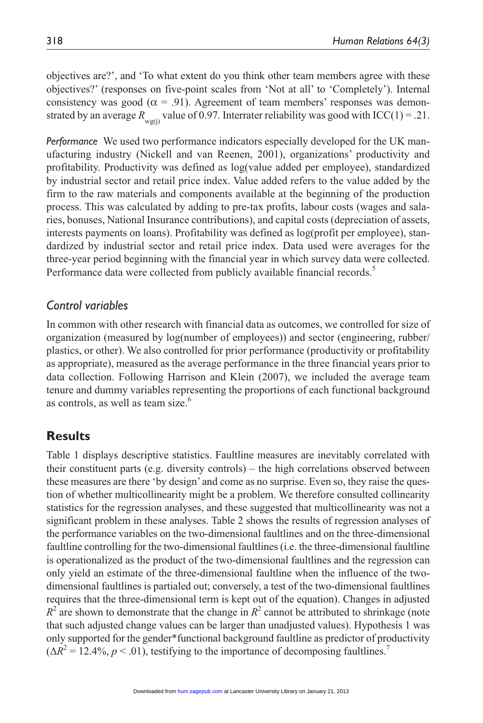objectives are?', and 'To what extent do you think other team members agree with these objectives?' (responses on five-point scales from 'Not at all' to 'Completely'). Internal consistency was good ( $\alpha$  = .91). Agreement of team members' responses was demonstrated by an average  $R_{\text{word}}$  value of 0.97. Interrater reliability was good with ICC(1) = .21.

*Performance* We used two performance indicators especially developed for the UK manufacturing industry (Nickell and van Reenen, 2001), organizations' productivity and profitability. Productivity was defined as log(value added per employee), standardized by industrial sector and retail price index. Value added refers to the value added by the firm to the raw materials and components available at the beginning of the production process. This was calculated by adding to pre-tax profits, labour costs (wages and salaries, bonuses, National Insurance contributions), and capital costs (depreciation of assets, interests payments on loans). Profitability was defined as log(profit per employee), standardized by industrial sector and retail price index. Data used were averages for the three-year period beginning with the financial year in which survey data were collected. Performance data were collected from publicly available financial records.<sup>5</sup>

### *Control variables*

In common with other research with financial data as outcomes, we controlled for size of organization (measured by log(number of employees)) and sector (engineering, rubber/ plastics, or other). We also controlled for prior performance (productivity or profitability as appropriate), measured as the average performance in the three financial years prior to data collection. Following Harrison and Klein (2007), we included the average team tenure and dummy variables representing the proportions of each functional background as controls, as well as team size.<sup>6</sup>

# **Results**

Table 1 displays descriptive statistics. Faultline measures are inevitably correlated with their constituent parts (e.g. diversity controls) – the high correlations observed between these measures are there 'by design' and come as no surprise. Even so, they raise the question of whether multicollinearity might be a problem. We therefore consulted collinearity statistics for the regression analyses, and these suggested that multicollinearity was not a significant problem in these analyses. Table 2 shows the results of regression analyses of the performance variables on the two-dimensional faultlines and on the three-dimensional faultline controlling for the two-dimensional faultlines (i.e. the three-dimensional faultline is operationalized as the product of the two-dimensional faultlines and the regression can only yield an estimate of the three-dimensional faultline when the influence of the twodimensional faultlines is partialed out; conversely, a test of the two-dimensional faultlines requires that the three-dimensional term is kept out of the equation). Changes in adjusted  $R^2$  are shown to demonstrate that the change in  $R^2$  cannot be attributed to shrinkage (note that such adjusted change values can be larger than unadjusted values). Hypothesis 1 was only supported for the gender\*functional background faultline as predictor of productivity  $(\Delta R^2 = 12.4\%, p < .01)$ , testifying to the importance of decomposing faultlines.<sup>7</sup>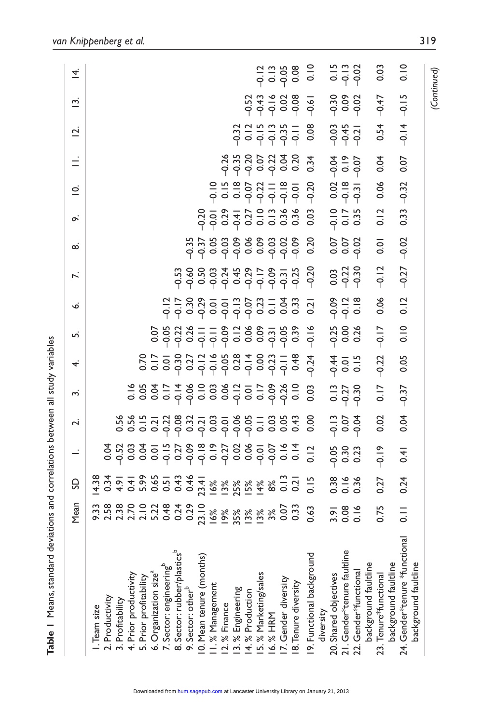| Table I Means, standard deviations and correlations between all study variables                                      |               |                   |                      |                                         |                                                          |                                                                                            |                       |                                                                                                                                                                                                                                                                                                      |                      |                                                       |                  |                              |                                     |                                                                                                                                                                                                                                                                                 |                  |                   |
|----------------------------------------------------------------------------------------------------------------------|---------------|-------------------|----------------------|-----------------------------------------|----------------------------------------------------------|--------------------------------------------------------------------------------------------|-----------------------|------------------------------------------------------------------------------------------------------------------------------------------------------------------------------------------------------------------------------------------------------------------------------------------------------|----------------------|-------------------------------------------------------|------------------|------------------------------|-------------------------------------|---------------------------------------------------------------------------------------------------------------------------------------------------------------------------------------------------------------------------------------------------------------------------------|------------------|-------------------|
|                                                                                                                      | Mean          | SD                |                      | Ń                                       | $\sim$                                                   | 4.                                                                                         | ம்                    | ݥ                                                                                                                                                                                                                                                                                                    | Z.                   | ∞                                                     | ö                | $\bar{c}$                    | $\equiv$                            | <u>ام</u>                                                                                                                                                                                                                                                                       | ഇ്               | $\overline{4}$    |
| I. Team size                                                                                                         |               |                   |                      |                                         |                                                          |                                                                                            |                       |                                                                                                                                                                                                                                                                                                      |                      |                                                       |                  |                              |                                     |                                                                                                                                                                                                                                                                                 |                  |                   |
| 2. Productivity                                                                                                      |               |                   |                      |                                         |                                                          |                                                                                            |                       |                                                                                                                                                                                                                                                                                                      |                      |                                                       |                  |                              |                                     |                                                                                                                                                                                                                                                                                 |                  |                   |
| 3. Profitability                                                                                                     |               |                   |                      |                                         |                                                          |                                                                                            |                       |                                                                                                                                                                                                                                                                                                      |                      |                                                       |                  |                              |                                     |                                                                                                                                                                                                                                                                                 |                  |                   |
| 4. Prior productivity                                                                                                |               |                   |                      |                                         |                                                          |                                                                                            |                       |                                                                                                                                                                                                                                                                                                      |                      |                                                       |                  |                              |                                     |                                                                                                                                                                                                                                                                                 |                  |                   |
| 5. Prior profitability                                                                                               |               |                   |                      |                                         |                                                          |                                                                                            |                       |                                                                                                                                                                                                                                                                                                      |                      |                                                       |                  |                              |                                     |                                                                                                                                                                                                                                                                                 |                  |                   |
| 6. Organization size $^3$                                                                                            |               |                   |                      |                                         |                                                          |                                                                                            |                       |                                                                                                                                                                                                                                                                                                      |                      |                                                       |                  |                              |                                     |                                                                                                                                                                                                                                                                                 |                  |                   |
| 7. Sector: engineering <sup>b</sup>                                                                                  |               |                   |                      |                                         |                                                          |                                                                                            |                       |                                                                                                                                                                                                                                                                                                      |                      |                                                       |                  |                              |                                     |                                                                                                                                                                                                                                                                                 |                  |                   |
| 8. Sector: rubber/plastics <sup>b</sup><br>9. Sector: other <sup>b</sup>                                             |               |                   |                      |                                         |                                                          |                                                                                            |                       |                                                                                                                                                                                                                                                                                                      |                      |                                                       |                  |                              |                                     |                                                                                                                                                                                                                                                                                 |                  |                   |
|                                                                                                                      |               |                   |                      |                                         |                                                          |                                                                                            |                       |                                                                                                                                                                                                                                                                                                      |                      |                                                       |                  |                              |                                     |                                                                                                                                                                                                                                                                                 |                  |                   |
| 0. Mean tenure (months)                                                                                              |               |                   |                      |                                         |                                                          |                                                                                            |                       |                                                                                                                                                                                                                                                                                                      |                      |                                                       |                  |                              |                                     |                                                                                                                                                                                                                                                                                 |                  |                   |
| 1.% Management                                                                                                       |               |                   |                      |                                         |                                                          |                                                                                            |                       |                                                                                                                                                                                                                                                                                                      |                      |                                                       |                  |                              |                                     |                                                                                                                                                                                                                                                                                 |                  |                   |
|                                                                                                                      |               |                   |                      |                                         |                                                          |                                                                                            |                       |                                                                                                                                                                                                                                                                                                      |                      |                                                       |                  |                              |                                     |                                                                                                                                                                                                                                                                                 |                  |                   |
| 12. % Finance<br>13. % Engineering<br>14. % Production<br>15. % Marketing/sales<br>16. % HRM<br>17. Gender diversity |               |                   |                      |                                         |                                                          |                                                                                            |                       |                                                                                                                                                                                                                                                                                                      |                      |                                                       |                  |                              |                                     |                                                                                                                                                                                                                                                                                 |                  |                   |
|                                                                                                                      |               |                   |                      |                                         |                                                          |                                                                                            |                       |                                                                                                                                                                                                                                                                                                      |                      |                                                       |                  |                              |                                     |                                                                                                                                                                                                                                                                                 |                  |                   |
|                                                                                                                      |               |                   |                      |                                         |                                                          |                                                                                            |                       |                                                                                                                                                                                                                                                                                                      |                      |                                                       |                  |                              |                                     |                                                                                                                                                                                                                                                                                 |                  |                   |
|                                                                                                                      |               |                   |                      |                                         |                                                          |                                                                                            |                       |                                                                                                                                                                                                                                                                                                      |                      |                                                       |                  |                              |                                     |                                                                                                                                                                                                                                                                                 |                  |                   |
|                                                                                                                      |               |                   |                      |                                         |                                                          |                                                                                            |                       |                                                                                                                                                                                                                                                                                                      |                      |                                                       |                  |                              |                                     |                                                                                                                                                                                                                                                                                 |                  |                   |
| 8. Tenure diversity                                                                                                  |               |                   |                      |                                         |                                                          |                                                                                            |                       |                                                                                                                                                                                                                                                                                                      |                      |                                                       |                  |                              |                                     |                                                                                                                                                                                                                                                                                 |                  |                   |
| 19. Functional background<br>diversity                                                                               |               |                   |                      | 885128876588758878<br>88512887658875887 | 9987199991012890<br>19971990991012890<br>199719900900900 | $8 - 5$ $8 - 7$ $2 - 8$ $3 - 4$<br>$6 - 6$ $6 - 6$ $6 - 6$ $6 - 6$ $6 - 6$ $6 - 6$ $6 - 6$ |                       | $\begin{array}{l} 2 > 0\\  0 < 0\\  0 < 0\\  0 < 0\\  0 < 0\\  0 < 0\\  0 < 0\\  0 < 0\\  0 < 0\\  0 < 0\\  0 < 0\\  0 < 0\\  0 < 0\\  0 < 0\\  0 < 0\\  0 < 0\\  0 < 0\\  0 < 0\\  0 < 0\\  0 < 0\\  0 < 0\\  0 < 0\\  0 < 0\\  0 < 0\\  0 < 0\\  0 < 0\\  0 < 0\\  0 < 0\\  0 < 0\\  0 < 0\\  0 <$ |                      | 5<br>5 5 5 6 5 6 6 6 7 6 7 6<br>5 6 7 9 9 9 9 9 9 9 0 |                  | 299872902020                 | 0.34                                | $\begin{array}{l} 22.59 & 24.59 & 24.59 \\ 24.59 & 24.59 & 24.59 \\ 24.59 & 24.59 & 24.59 \\ 24.59 & 24.59 & 24.59 \\ 24.59 & 24.59 & 24.59 \\ 24.59 & 24.59 & 24.59 \\ 24.59 & 24.59 & 24.59 \\ 24.59 & 24.59 & 24.59 \\ 24.59 & 24.59 & 24.59 \\ 24.59 & 24.59 & 24.59 \\ 24$ |                  | 29800             |
| 20. Shared objectives                                                                                                |               |                   |                      |                                         |                                                          |                                                                                            |                       |                                                                                                                                                                                                                                                                                                      |                      |                                                       |                  |                              |                                     |                                                                                                                                                                                                                                                                                 |                  |                   |
| 21. Gender*tenure faultline                                                                                          | 3.800         | 83<br>0.36<br>0.0 | 0.30<br>0.30<br>0.23 | $rac{13}{9}$ 0.04                       |                                                          |                                                                                            |                       | $0.09$<br>$-0.18$<br>$-0.18$                                                                                                                                                                                                                                                                         |                      |                                                       |                  |                              | $rac{4}{9}$ $rac{9}{9}$ $rac{5}{9}$ |                                                                                                                                                                                                                                                                                 |                  |                   |
| 22. Gender*functional                                                                                                |               |                   |                      |                                         | $0.13$<br>0.27<br>0.30                                   | $rac{0}{4}$ 0.15                                                                           | -0.25<br>0.00<br>0.26 |                                                                                                                                                                                                                                                                                                      | 0.03<br>0.22<br>0.30 | $0.07$<br>0.07<br>0.02                                | $0.17$<br>$0.35$ | $0.02$<br>$-0.18$<br>$-0.31$ |                                     | $0.03$<br>$0.45$<br>$0.21$                                                                                                                                                                                                                                                      | $9.30$<br>$9.02$ | $0.15$<br>$-9.02$ |
| background faultline                                                                                                 |               |                   |                      |                                         |                                                          |                                                                                            |                       |                                                                                                                                                                                                                                                                                                      |                      |                                                       |                  |                              |                                     |                                                                                                                                                                                                                                                                                 |                  |                   |
| background faultline<br>23. Tenure*functional                                                                        | 0.75          | 0.27              | $-0.19$              | 0.02                                    | 0.17                                                     | $-0.22$                                                                                    | $-0.17$               | 0.06                                                                                                                                                                                                                                                                                                 | $-0.12$              | 0.01                                                  | 0.12             | 0.06                         | 0.04                                | 0.54                                                                                                                                                                                                                                                                            | $-0.47$          | 0.03              |
| 24. Gender*tenure *functional                                                                                        | $\frac{1}{2}$ | 0.24              | 0.41                 | 0.04                                    | $-0.37$                                                  | 0.05                                                                                       | 0.10                  | 0.12                                                                                                                                                                                                                                                                                                 | $-0.27$              | $-0.02$                                               | 0.33             | $-0.32$                      | 0.07                                | $-0.14$                                                                                                                                                                                                                                                                         | $-0.15$          | 0.10              |
| background faultline                                                                                                 |               |                   |                      |                                         |                                                          |                                                                                            |                       |                                                                                                                                                                                                                                                                                                      |                      |                                                       |                  |                              |                                     |                                                                                                                                                                                                                                                                                 |                  |                   |
|                                                                                                                      |               |                   |                      |                                         |                                                          |                                                                                            |                       |                                                                                                                                                                                                                                                                                                      |                      |                                                       |                  |                              |                                     |                                                                                                                                                                                                                                                                                 | (Continued)      |                   |

Downloaded from [hum.sagepub.com](http://hum.sagepub.com/) at Lancaster University Library on January 21, 2013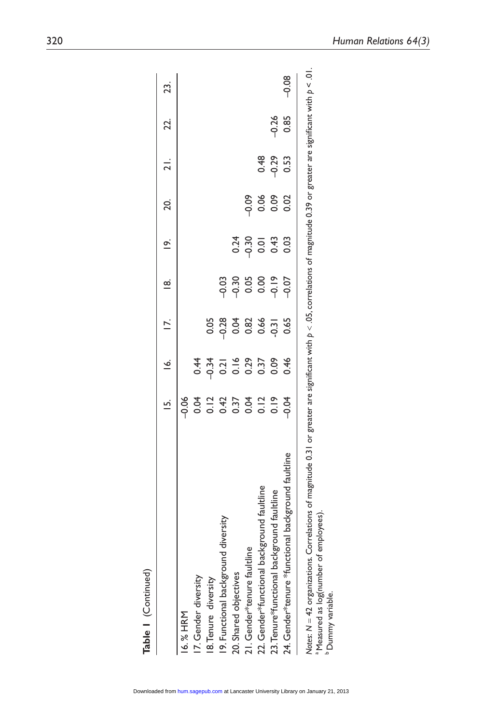| $\frac{5}{2}$                                           | $\frac{1}{2}$     | $\overline{2}$                      | ≌ | ∘_ | 20.                               | $\frac{1}{2}$   | 22.        | 23.     |
|---------------------------------------------------------|-------------------|-------------------------------------|---|----|-----------------------------------|-----------------|------------|---------|
| 16.% HRM                                                |                   |                                     |   |    |                                   |                 |            |         |
| $8831255225$<br>$95375525$<br>17. Gender diversity      |                   |                                     |   |    |                                   |                 |            |         |
| 18. Tenure diversity                                    | 0.900000000000000 |                                     |   |    |                                   |                 |            |         |
| diversity<br>19. Functional background                  |                   | 8<br>8 8 8 8 9 7 8<br>6 9 8 8 9 9 9 |   |    |                                   |                 |            |         |
| 20. Shared objectives                                   |                   |                                     |   |    |                                   |                 |            |         |
| 21. Gender*tenure faultline                             |                   |                                     |   |    |                                   |                 |            |         |
| 22. Gender*functional background faultline              |                   |                                     |   |    | 8<br>8<br>9<br>9 9 8 9<br>9 9 9 9 | 0.48            |            |         |
| 23. Tenure*functional background faultline              |                   |                                     |   |    |                                   | $-0.29$<br>0.53 |            |         |
| tional background faultline<br>24. Gender*tenure *funct |                   |                                     |   |    |                                   |                 | 26<br>0.85 | $-0.08$ |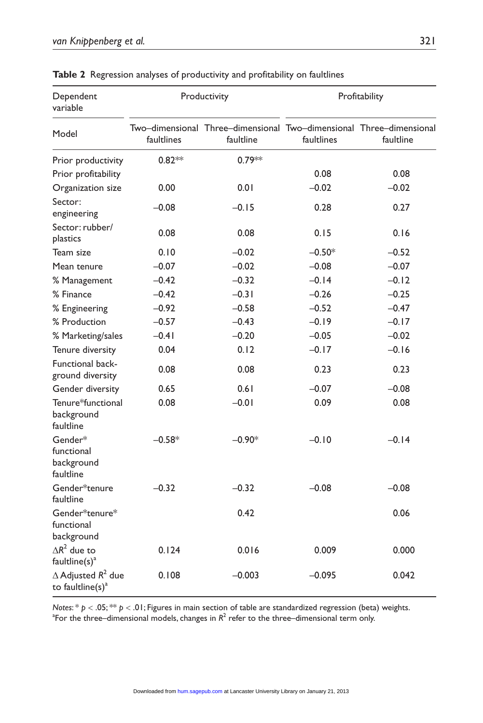| Dependent<br>variable                                  |            | Productivity                                                                     |            | Profitability |
|--------------------------------------------------------|------------|----------------------------------------------------------------------------------|------------|---------------|
| Model                                                  | faultlines | Two-dimensional Three-dimensional Two-dimensional Three-dimensional<br>faultline | faultlines | faultline     |
| Prior productivity                                     | $0.82**$   | $0.79**$                                                                         |            |               |
| Prior profitability                                    |            |                                                                                  | 0.08       | 0.08          |
| Organization size                                      | 0.00       | 0.01                                                                             | $-0.02$    | $-0.02$       |
| Sector:<br>engineering                                 | $-0.08$    | $-0.15$                                                                          | 0.28       | 0.27          |
| Sector: rubber/<br>plastics                            | 0.08       | 0.08                                                                             | 0.15       | 0.16          |
| Team size                                              | 0.10       | $-0.02$                                                                          | $-0.50*$   | $-0.52$       |
| Mean tenure                                            | $-0.07$    | $-0.02$                                                                          | $-0.08$    | $-0.07$       |
| % Management                                           | $-0.42$    | $-0.32$                                                                          | $-0.14$    | $-0.12$       |
| % Finance                                              | $-0.42$    | $-0.31$                                                                          | $-0.26$    | $-0.25$       |
| % Engineering                                          | $-0.92$    | $-0.58$                                                                          | $-0.52$    | $-0.47$       |
| % Production                                           | $-0.57$    | $-0.43$                                                                          | $-0.19$    | $-0.17$       |
| % Marketing/sales                                      | $-0.41$    | $-0.20$                                                                          | $-0.05$    | $-0.02$       |
| Tenure diversity                                       | 0.04       | 0.12                                                                             | $-0.17$    | $-0.16$       |
| Functional back-<br>ground diversity                   | 0.08       | 0.08                                                                             | 0.23       | 0.23          |
| Gender diversity                                       | 0.65       | 0.61                                                                             | $-0.07$    | $-0.08$       |
| Tenure*functional<br>background<br>faultline           | 0.08       | $-0.01$                                                                          | 0.09       | 0.08          |
| Gender*<br>functional<br>background<br>faultline       | $-0.58*$   | $-0.90*$                                                                         | $-0.10$    | $-0.14$       |
| Gender*tenure<br>faultline                             | $-0.32$    | $-0.32$                                                                          | $-0.08$    | $-0.08$       |
| Gender*tenure*<br>functional<br>background             |            | 0.42                                                                             |            | 0.06          |
| $\Delta R^2$ due to<br>faultline $(s)^a$               | 0.124      | 0.016                                                                            | 0.009      | 0.000         |
| $\triangle$ Adjusted $R^2$ due<br>to faultline $(s)^a$ | 0.108      | $-0.003$                                                                         | $-0.095$   | 0.042         |

#### **Table 2** Regression analyses of productivity and profitability on faultlines

*Notes*: \* *p* < .05; \*\* *p* < .01; Figures in main section of table are standardized regression (beta) weights.  $^{\rm a}$ For the three–dimensional models, changes in  $R^2$  refer to the three–dimensional term only.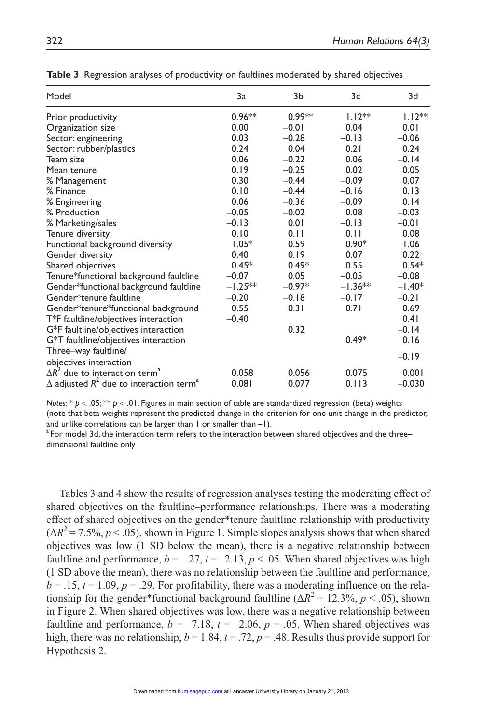| Model                                                        | 3a         | 3b       | 3c        | 3d       |
|--------------------------------------------------------------|------------|----------|-----------|----------|
| Prior productivity                                           | $0.96**$   | $0.99**$ | $1.12**$  | $1.12**$ |
| Organization size                                            | 0.00       | $-0.01$  | 0.04      | 0.01     |
| Sector: engineering                                          | 0.03       | $-0.28$  | $-0.13$   | $-0.06$  |
| Sector: rubber/plastics                                      | 0.24       | 0.04     | 0.21      | 0.24     |
| Team size                                                    | 0.06       | $-0.22$  | 0.06      | $-0.14$  |
| Mean tenure                                                  | 0.19       | $-0.25$  | 0.02      | 0.05     |
| % Management                                                 | 0.30       | $-0.44$  | $-0.09$   | 0.07     |
| % Finance                                                    | 0.10       | $-0.44$  | $-0.16$   | 0.13     |
| % Engineering                                                | 0.06       | $-0.36$  | $-0.09$   | 0.14     |
| % Production                                                 | $-0.05$    | $-0.02$  | 0.08      | $-0.03$  |
| % Marketing/sales                                            | $-0.13$    | 0.01     | $-0.13$   | $-0.01$  |
| Tenure diversity                                             | 0.10       | 0.11     | 0.11      | 0.08     |
| Functional background diversity                              | $1.05*$    | 0.59     | $0.90*$   | 1.06     |
| Gender diversity                                             | 0.40       | 0.19     | 0.07      | 0.22     |
| Shared objectives                                            | $0.45*$    | $0.49*$  | 0.55      | $0.54*$  |
| Tenure*functional background faultline                       | $-0.07$    | 0.05     | $-0.05$   | $-0.08$  |
| Gender*functional background faultline                       | $-1.25***$ | $-0.97*$ | $-1.36**$ | $-1.40*$ |
| Gender*tenure faultline                                      | $-0.20$    | $-0.18$  | $-0.17$   | $-0.21$  |
| Gender*tenure*functional background                          | 0.55       | 0.31     | 0.71      | 0.69     |
| T*F faultline/objectives interaction                         | $-0.40$    |          |           | 0.41     |
| G*F faultline/objectives interaction                         |            | 0.32     |           | $-0.14$  |
| G*T faultline/objectives interaction                         |            |          | $0.49*$   | 0.16     |
| Three-way faultline/                                         |            |          |           | $-0.19$  |
| objectives interaction                                       |            |          |           |          |
| $\Delta R^2$ due to interaction term <sup>a</sup>            | 0.058      | 0.056    | 0.075     | 0.001    |
| $\Delta$ adjusted $R^2$ due to interaction term <sup>a</sup> | 0.081      | 0.077    | 0.113     | $-0.030$ |

**Table 3** Regression analyses of productivity on faultlines moderated by shared objectives

*Notes*: \* *p* < .05; \*\* *p* < .01. Figures in main section of table are standardized regression (beta) weights (note that beta weights represent the predicted change in the criterion for one unit change in the predictor, and unlike correlations can be larger than  $1$  or smaller than  $-1$ ).

<sup>a</sup> For model 3d, the interaction term refers to the interaction between shared objectives and the threedimensional faultline only

Tables 3 and 4 show the results of regression analyses testing the moderating effect of shared objectives on the faultline–performance relationships. There was a moderating effect of shared objectives on the gender\*tenure faultline relationship with productivity  $(\Delta R^2 = 7.5\%, p < .05)$ , shown in Figure 1. Simple slopes analysis shows that when shared objectives was low (1 SD below the mean), there is a negative relationship between faultline and performance,  $b = -2.27$ ,  $t = -2.13$ ,  $p < .05$ . When shared objectives was high (1 SD above the mean), there was no relationship between the faultline and performance,  $b = 0.15$ ,  $t = 1.09$ ,  $p = 0.29$ . For profitability, there was a moderating influence on the relationship for the gender\*functional background faultline ( $\Delta R^2 = 12.3\%$ , *p* < .05), shown in Figure 2. When shared objectives was low, there was a negative relationship between faultline and performance,  $b = -7.18$ ,  $t = -2.06$ ,  $p = .05$ . When shared objectives was high, there was no relationship,  $b = 1.84$ ,  $t = .72$ ,  $p = .48$ . Results thus provide support for Hypothesis 2.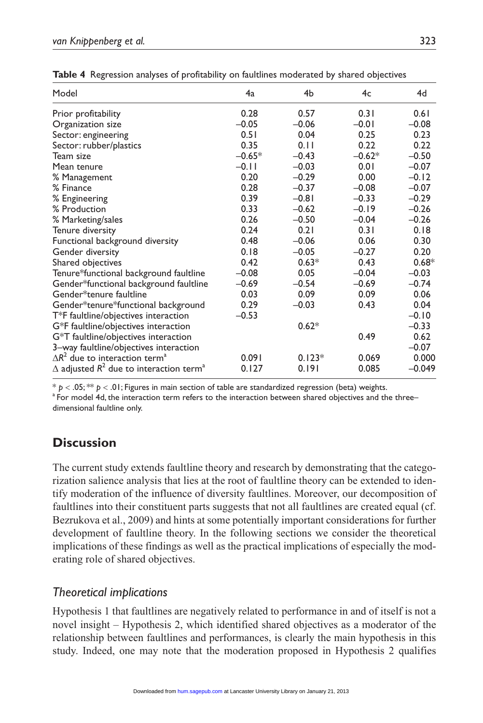| 4a       | 4 <sub>b</sub> | 4c       | 4d       |
|----------|----------------|----------|----------|
| 0.28     | 0.57           | 0.31     | 0.61     |
| $-0.05$  | $-0.06$        | $-0.01$  | $-0.08$  |
| 0.51     | 0.04           | 0.25     | 0.23     |
| 0.35     | 0.11           | 0.22     | 0.22     |
| $-0.65*$ | $-0.43$        | $-0.62*$ | $-0.50$  |
| $-0.11$  | $-0.03$        | 0.01     | $-0.07$  |
| 0.20     | $-0.29$        | 0.00     | $-0.12$  |
| 0.28     | $-0.37$        | $-0.08$  | $-0.07$  |
| 0.39     | $-0.81$        | $-0.33$  | $-0.29$  |
| 0.33     | $-0.62$        | $-0.19$  | $-0.26$  |
| 0.26     | $-0.50$        | $-0.04$  | $-0.26$  |
| 0.24     | 0.21           | 0.31     | 0.18     |
| 0.48     | $-0.06$        | 0.06     | 0.30     |
| 0.18     | $-0.05$        | $-0.27$  | 0.20     |
| 0.42     | $0.63*$        | 0.43     | $0.68*$  |
| $-0.08$  | 0.05           | $-0.04$  | $-0.03$  |
| $-0.69$  | $-0.54$        | $-0.69$  | $-0.74$  |
| 0.03     | 0.09           | 0.09     | 0.06     |
| 0.29     | $-0.03$        | 0.43     | 0.04     |
| $-0.53$  |                |          | $-0.10$  |
|          | $0.62*$        |          | $-0.33$  |
|          |                | 0.49     | 0.62     |
|          |                |          | $-0.07$  |
| 0.091    | $0.123*$       | 0.069    | 0.000    |
| 0.127    | 0.191          | 0.085    | $-0.049$ |
|          |                |          |          |

**Table 4** Regression analyses of profitability on faultlines moderated by shared objectives

 $* p < .05; ** p < .01;$  Figures in main section of table are standardized regression (beta) weights.<br><sup>a</sup> For model 4d, the interaction term refers to the interaction between shared objectives and the three– dimensional faultline only.

# **Discussion**

The current study extends faultline theory and research by demonstrating that the categorization salience analysis that lies at the root of faultline theory can be extended to identify moderation of the influence of diversity faultlines. Moreover, our decomposition of faultlines into their constituent parts suggests that not all faultlines are created equal (cf. Bezrukova et al., 2009) and hints at some potentially important considerations for further development of faultline theory. In the following sections we consider the theoretical implications of these findings as well as the practical implications of especially the moderating role of shared objectives.

# *Theoretical implications*

Hypothesis 1 that faultlines are negatively related to performance in and of itself is not a novel insight – Hypothesis 2, which identified shared objectives as a moderator of the relationship between faultlines and performances, is clearly the main hypothesis in this study. Indeed, one may note that the moderation proposed in Hypothesis 2 qualifies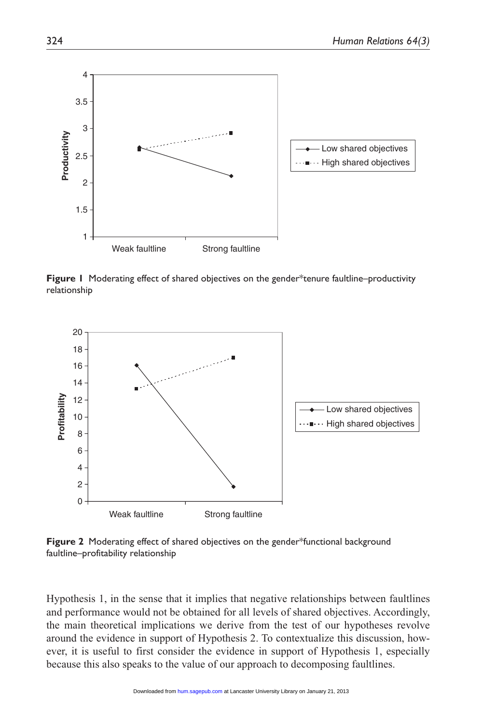

**Figure 1** Moderating effect of shared objectives on the gender\*tenure faultline–productivity relationship



**Figure 2** Moderating effect of shared objectives on the gender\*functional background faultline–profitability relationship

Hypothesis 1, in the sense that it implies that negative relationships between faultlines and performance would not be obtained for all levels of shared objectives. Accordingly, the main theoretical implications we derive from the test of our hypotheses revolve around the evidence in support of Hypothesis 2. To contextualize this discussion, however, it is useful to first consider the evidence in support of Hypothesis 1, especially because this also speaks to the value of our approach to decomposing faultlines.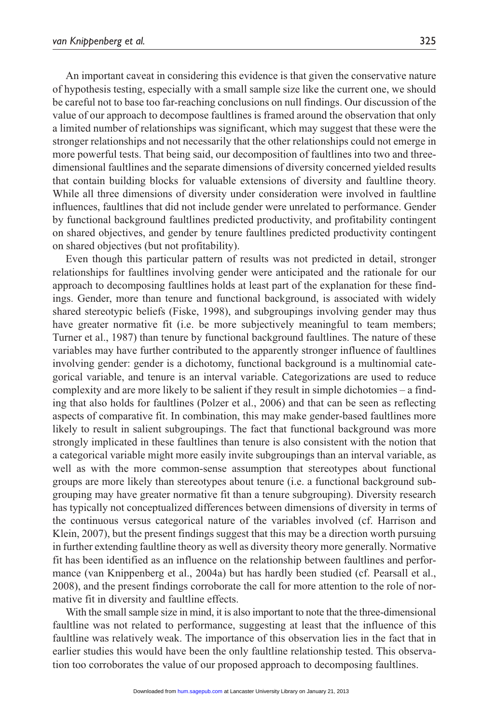An important caveat in considering this evidence is that given the conservative nature of hypothesis testing, especially with a small sample size like the current one, we should be careful not to base too far-reaching conclusions on null findings. Our discussion of the value of our approach to decompose faultlines is framed around the observation that only a limited number of relationships was significant, which may suggest that these were the stronger relationships and not necessarily that the other relationships could not emerge in more powerful tests. That being said, our decomposition of faultlines into two and threedimensional faultlines and the separate dimensions of diversity concerned yielded results that contain building blocks for valuable extensions of diversity and faultline theory. While all three dimensions of diversity under consideration were involved in faultline influences, faultlines that did not include gender were unrelated to performance. Gender by functional background faultlines predicted productivity, and profitability contingent on shared objectives, and gender by tenure faultlines predicted productivity contingent on shared objectives (but not profitability).

Even though this particular pattern of results was not predicted in detail, stronger relationships for faultlines involving gender were anticipated and the rationale for our approach to decomposing faultlines holds at least part of the explanation for these findings. Gender, more than tenure and functional background, is associated with widely shared stereotypic beliefs (Fiske, 1998), and subgroupings involving gender may thus have greater normative fit (i.e. be more subjectively meaningful to team members; Turner et al., 1987) than tenure by functional background faultlines. The nature of these variables may have further contributed to the apparently stronger influence of faultlines involving gender: gender is a dichotomy, functional background is a multinomial categorical variable, and tenure is an interval variable. Categorizations are used to reduce complexity and are more likely to be salient if they result in simple dichotomies – a finding that also holds for faultlines (Polzer et al., 2006) and that can be seen as reflecting aspects of comparative fit. In combination, this may make gender-based faultlines more likely to result in salient subgroupings. The fact that functional background was more strongly implicated in these faultlines than tenure is also consistent with the notion that a categorical variable might more easily invite subgroupings than an interval variable, as well as with the more common-sense assumption that stereotypes about functional groups are more likely than stereotypes about tenure (i.e. a functional background subgrouping may have greater normative fit than a tenure subgrouping). Diversity research has typically not conceptualized differences between dimensions of diversity in terms of the continuous versus categorical nature of the variables involved (cf. Harrison and Klein, 2007), but the present findings suggest that this may be a direction worth pursuing in further extending faultline theory as well as diversity theory more generally. Normative fit has been identified as an influence on the relationship between faultlines and performance (van Knippenberg et al., 2004a) but has hardly been studied (cf. Pearsall et al., 2008), and the present findings corroborate the call for more attention to the role of normative fit in diversity and faultline effects.

With the small sample size in mind, it is also important to note that the three-dimensional faultline was not related to performance, suggesting at least that the influence of this faultline was relatively weak. The importance of this observation lies in the fact that in earlier studies this would have been the only faultline relationship tested. This observation too corroborates the value of our proposed approach to decomposing faultlines.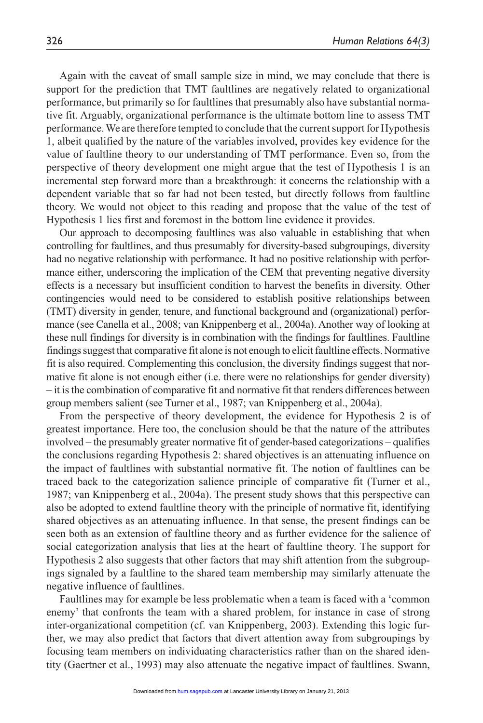Again with the caveat of small sample size in mind, we may conclude that there is support for the prediction that TMT faultlines are negatively related to organizational performance, but primarily so for faultlines that presumably also have substantial normative fit. Arguably, organizational performance is the ultimate bottom line to assess TMT performance. We are therefore tempted to conclude that the current support for Hypothesis 1, albeit qualified by the nature of the variables involved, provides key evidence for the value of faultline theory to our understanding of TMT performance. Even so, from the perspective of theory development one might argue that the test of Hypothesis 1 is an incremental step forward more than a breakthrough: it concerns the relationship with a dependent variable that so far had not been tested, but directly follows from faultline theory. We would not object to this reading and propose that the value of the test of Hypothesis 1 lies first and foremost in the bottom line evidence it provides.

Our approach to decomposing faultlines was also valuable in establishing that when controlling for faultlines, and thus presumably for diversity-based subgroupings, diversity had no negative relationship with performance. It had no positive relationship with performance either, underscoring the implication of the CEM that preventing negative diversity effects is a necessary but insufficient condition to harvest the benefits in diversity. Other contingencies would need to be considered to establish positive relationships between (TMT) diversity in gender, tenure, and functional background and (organizational) performance (see Canella et al., 2008; van Knippenberg et al., 2004a). Another way of looking at these null findings for diversity is in combination with the findings for faultlines. Faultline findings suggest that comparative fit alone is not enough to elicit faultline effects. Normative fit is also required. Complementing this conclusion, the diversity findings suggest that normative fit alone is not enough either (i.e. there were no relationships for gender diversity) – it is the combination of comparative fit and normative fit that renders differences between group members salient (see Turner et al., 1987; van Knippenberg et al., 2004a).

From the perspective of theory development, the evidence for Hypothesis 2 is of greatest importance. Here too, the conclusion should be that the nature of the attributes involved – the presumably greater normative fit of gender-based categorizations – qualifies the conclusions regarding Hypothesis 2: shared objectives is an attenuating influence on the impact of faultlines with substantial normative fit. The notion of faultlines can be traced back to the categorization salience principle of comparative fit (Turner et al., 1987; van Knippenberg et al., 2004a). The present study shows that this perspective can also be adopted to extend faultline theory with the principle of normative fit, identifying shared objectives as an attenuating influence. In that sense, the present findings can be seen both as an extension of faultline theory and as further evidence for the salience of social categorization analysis that lies at the heart of faultline theory. The support for Hypothesis 2 also suggests that other factors that may shift attention from the subgroupings signaled by a faultline to the shared team membership may similarly attenuate the negative influence of faultlines.

Faultlines may for example be less problematic when a team is faced with a 'common enemy' that confronts the team with a shared problem, for instance in case of strong inter-organizational competition (cf. van Knippenberg, 2003). Extending this logic further, we may also predict that factors that divert attention away from subgroupings by focusing team members on individuating characteristics rather than on the shared identity (Gaertner et al., 1993) may also attenuate the negative impact of faultlines. Swann,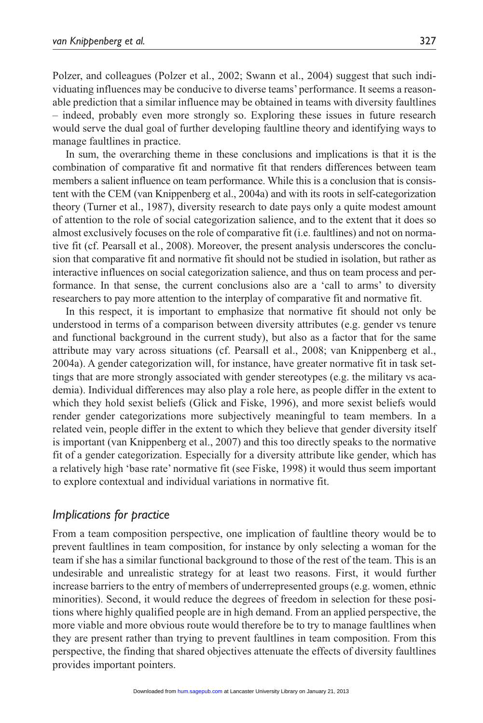Polzer, and colleagues (Polzer et al., 2002; Swann et al., 2004) suggest that such individuating influences may be conducive to diverse teams' performance. It seems a reasonable prediction that a similar influence may be obtained in teams with diversity faultlines – indeed, probably even more strongly so. Exploring these issues in future research would serve the dual goal of further developing faultline theory and identifying ways to manage faultlines in practice.

In sum, the overarching theme in these conclusions and implications is that it is the combination of comparative fit and normative fit that renders differences between team members a salient influence on team performance. While this is a conclusion that is consistent with the CEM (van Knippenberg et al., 2004a) and with its roots in self-categorization theory (Turner et al., 1987), diversity research to date pays only a quite modest amount of attention to the role of social categorization salience, and to the extent that it does so almost exclusively focuses on the role of comparative fit (i.e. faultlines) and not on normative fit (cf. Pearsall et al., 2008). Moreover, the present analysis underscores the conclusion that comparative fit and normative fit should not be studied in isolation, but rather as interactive influences on social categorization salience, and thus on team process and performance. In that sense, the current conclusions also are a 'call to arms' to diversity researchers to pay more attention to the interplay of comparative fit and normative fit.

In this respect, it is important to emphasize that normative fit should not only be understood in terms of a comparison between diversity attributes (e.g. gender vs tenure and functional background in the current study), but also as a factor that for the same attribute may vary across situations (cf. Pearsall et al., 2008; van Knippenberg et al., 2004a). A gender categorization will, for instance, have greater normative fit in task settings that are more strongly associated with gender stereotypes (e.g. the military vs academia). Individual differences may also play a role here, as people differ in the extent to which they hold sexist beliefs (Glick and Fiske, 1996), and more sexist beliefs would render gender categorizations more subjectively meaningful to team members. In a related vein, people differ in the extent to which they believe that gender diversity itself is important (van Knippenberg et al., 2007) and this too directly speaks to the normative fit of a gender categorization. Especially for a diversity attribute like gender, which has a relatively high 'base rate' normative fit (see Fiske, 1998) it would thus seem important to explore contextual and individual variations in normative fit.

#### *Implications for practice*

From a team composition perspective, one implication of faultline theory would be to prevent faultlines in team composition, for instance by only selecting a woman for the team if she has a similar functional background to those of the rest of the team. This is an undesirable and unrealistic strategy for at least two reasons. First, it would further increase barriers to the entry of members of underrepresented groups (e.g. women, ethnic minorities). Second, it would reduce the degrees of freedom in selection for these positions where highly qualified people are in high demand. From an applied perspective, the more viable and more obvious route would therefore be to try to manage faultlines when they are present rather than trying to prevent faultlines in team composition. From this perspective, the finding that shared objectives attenuate the effects of diversity faultlines provides important pointers.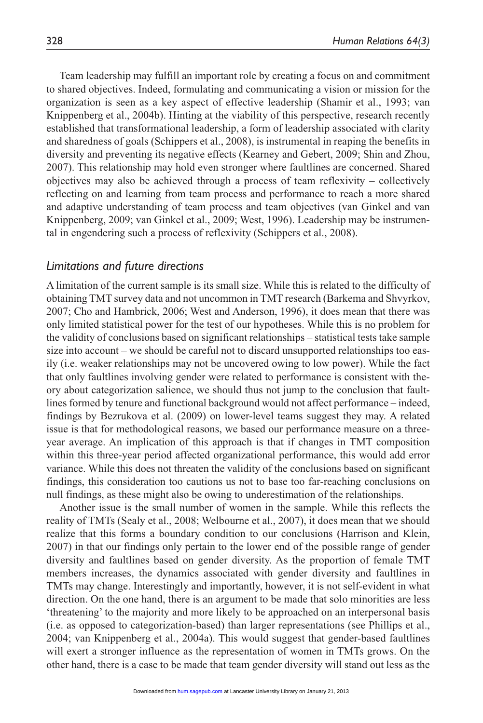Team leadership may fulfill an important role by creating a focus on and commitment to shared objectives. Indeed, formulating and communicating a vision or mission for the organization is seen as a key aspect of effective leadership (Shamir et al., 1993; van Knippenberg et al., 2004b). Hinting at the viability of this perspective, research recently established that transformational leadership, a form of leadership associated with clarity and sharedness of goals (Schippers et al., 2008), is instrumental in reaping the benefits in diversity and preventing its negative effects (Kearney and Gebert, 2009; Shin and Zhou, 2007). This relationship may hold even stronger where faultlines are concerned. Shared objectives may also be achieved through a process of team reflexivity – collectively reflecting on and learning from team process and performance to reach a more shared and adaptive understanding of team process and team objectives (van Ginkel and van Knippenberg, 2009; van Ginkel et al., 2009; West, 1996). Leadership may be instrumental in engendering such a process of reflexivity (Schippers et al., 2008).

#### *Limitations and future directions*

A limitation of the current sample is its small size. While this is related to the difficulty of obtaining TMT survey data and not uncommon in TMT research (Barkema and Shvyrkov, 2007; Cho and Hambrick, 2006; West and Anderson, 1996), it does mean that there was only limited statistical power for the test of our hypotheses. While this is no problem for the validity of conclusions based on significant relationships – statistical tests take sample size into account – we should be careful not to discard unsupported relationships too easily (i.e. weaker relationships may not be uncovered owing to low power). While the fact that only faultlines involving gender were related to performance is consistent with theory about categorization salience, we should thus not jump to the conclusion that faultlines formed by tenure and functional background would not affect performance – indeed, findings by Bezrukova et al. (2009) on lower-level teams suggest they may. A related issue is that for methodological reasons, we based our performance measure on a threeyear average. An implication of this approach is that if changes in TMT composition within this three-year period affected organizational performance, this would add error variance. While this does not threaten the validity of the conclusions based on significant findings, this consideration too cautions us not to base too far-reaching conclusions on null findings, as these might also be owing to underestimation of the relationships.

Another issue is the small number of women in the sample. While this reflects the reality of TMTs (Sealy et al., 2008; Welbourne et al., 2007), it does mean that we should realize that this forms a boundary condition to our conclusions (Harrison and Klein, 2007) in that our findings only pertain to the lower end of the possible range of gender diversity and faultlines based on gender diversity. As the proportion of female TMT members increases, the dynamics associated with gender diversity and faultlines in TMTs may change. Interestingly and importantly, however, it is not self-evident in what direction. On the one hand, there is an argument to be made that solo minorities are less 'threatening' to the majority and more likely to be approached on an interpersonal basis (i.e. as opposed to categorization-based) than larger representations (see Phillips et al., 2004; van Knippenberg et al., 2004a). This would suggest that gender-based faultlines will exert a stronger influence as the representation of women in TMTs grows. On the other hand, there is a case to be made that team gender diversity will stand out less as the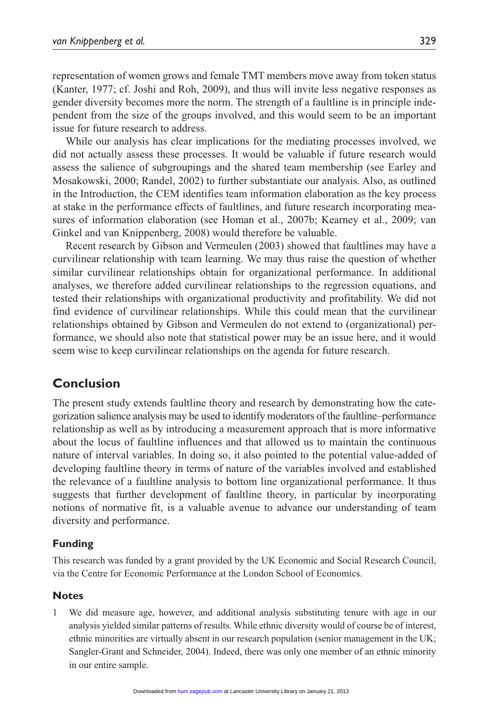representation of women grows and female TMT members move away from token status (Kanter, 1977; cf. Joshi and Roh, 2009), and thus will invite less negative responses as gender diversity becomes more the norm. The strength of a faultline is in principle independent from the size of the groups involved, and this would seem to be an important issue for future research to address.

While our analysis has clear implications for the mediating processes involved, we did not actually assess these processes. It would be valuable if future research would assess the salience of subgroupings and the shared team membership (see Earley and Mosakowski, 2000; Randel, 2002) to further substantiate our analysis. Also, as outlined in the Introduction, the CEM identifies team information elaboration as the key process at stake in the performance effects of faultlines, and future research incorporating measures of information elaboration (see Homan et al., 2007b; Kearney et al., 2009; van Ginkel and van Knippenberg, 2008) would therefore be valuable.

Recent research by Gibson and Vermeulen (2003) showed that faultlines may have a curvilinear relationship with team learning. We may thus raise the question of whether similar curvilinear relationships obtain for organizational performance. In additional analyses, we therefore added curvilinear relationships to the regression equations, and tested their relationships with organizational productivity and profitability. We did not find evidence of curvilinear relationships. While this could mean that the curvilinear relationships obtained by Gibson and Vermeulen do not extend to (organizational) performance, we should also note that statistical power may be an issue here, and it would seem wise to keep curvilinear relationships on the agenda for future research.

# **Conclusion**

The present study extends faultline theory and research by demonstrating how the categorization salience analysis may be used to identify moderators of the faultline–performance relationship as well as by introducing a measurement approach that is more informative about the locus of faultline influences and that allowed us to maintain the continuous nature of interval variables. In doing so, it also pointed to the potential value-added of developing faultline theory in terms of nature of the variables involved and established the relevance of a faultline analysis to bottom line organizational performance. It thus suggests that further development of faultline theory, in particular by incorporating notions of normative fit, is a valuable avenue to advance our understanding of team diversity and performance.

#### **Funding**

This research was funded by a grant provided by the UK Economic and Social Research Council, via the Centre for Economic Performance at the London School of Economics.

#### **Notes**

1 We did measure age, however, and additional analysis substituting tenure with age in our analysis yielded similar patterns of results. While ethnic diversity would of course be of interest, ethnic minorities are virtually absent in our research population (senior management in the UK; Sangler-Grant and Schneider, 2004). Indeed, there was only one member of an ethnic minority in our entire sample.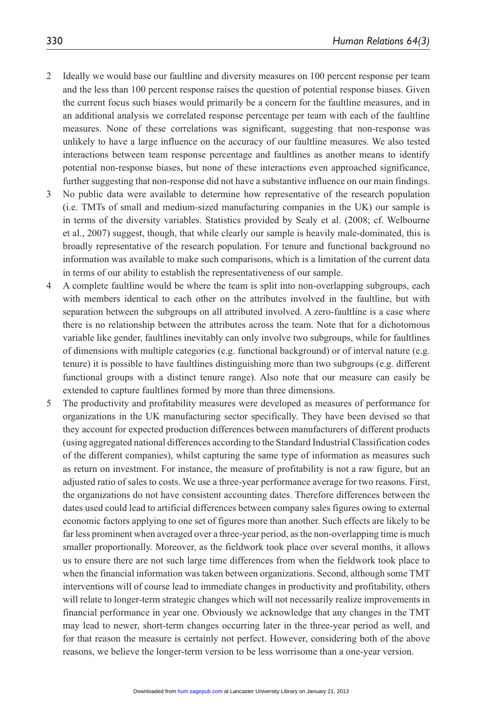- 2 Ideally we would base our faultline and diversity measures on 100 percent response per team and the less than 100 percent response raises the question of potential response biases. Given the current focus such biases would primarily be a concern for the faultline measures, and in an additional analysis we correlated response percentage per team with each of the faultline measures. None of these correlations was significant, suggesting that non-response was unlikely to have a large influence on the accuracy of our faultline measures. We also tested interactions between team response percentage and faultlines as another means to identify potential non-response biases, but none of these interactions even approached significance, further suggesting that non-response did not have a substantive influence on our main findings.
- 3 No public data were available to determine how representative of the research population (i.e. TMTs of small and medium-sized manufacturing companies in the UK) our sample is in terms of the diversity variables. Statistics provided by Sealy et al. (2008; cf. Welbourne et al., 2007) suggest, though, that while clearly our sample is heavily male-dominated, this is broadly representative of the research population. For tenure and functional background no information was available to make such comparisons, which is a limitation of the current data in terms of our ability to establish the representativeness of our sample.
- 4 A complete faultline would be where the team is split into non-overlapping subgroups, each with members identical to each other on the attributes involved in the faultline, but with separation between the subgroups on all attributed involved. A zero-faultline is a case where there is no relationship between the attributes across the team. Note that for a dichotomous variable like gender, faultlines inevitably can only involve two subgroups, while for faultlines of dimensions with multiple categories (e.g. functional background) or of interval nature (e.g. tenure) it is possible to have faultlines distinguishing more than two subgroups (e.g. different functional groups with a distinct tenure range). Also note that our measure can easily be extended to capture faultlines formed by more than three dimensions.
- 5 The productivity and profitability measures were developed as measures of performance for organizations in the UK manufacturing sector specifically. They have been devised so that they account for expected production differences between manufacturers of different products (using aggregated national differences according to the Standard Industrial Classification codes of the different companies), whilst capturing the same type of information as measures such as return on investment. For instance, the measure of profitability is not a raw figure, but an adjusted ratio of sales to costs. We use a three-year performance average for two reasons. First, the organizations do not have consistent accounting dates. Therefore differences between the dates used could lead to artificial differences between company sales figures owing to external economic factors applying to one set of figures more than another. Such effects are likely to be far less prominent when averaged over a three-year period, as the non-overlapping time is much smaller proportionally. Moreover, as the fieldwork took place over several months, it allows us to ensure there are not such large time differences from when the fieldwork took place to when the financial information was taken between organizations. Second, although some TMT interventions will of course lead to immediate changes in productivity and profitability, others will relate to longer-term strategic changes which will not necessarily realize improvements in financial performance in year one. Obviously we acknowledge that any changes in the TMT may lead to newer, short-term changes occurring later in the three-year period as well, and for that reason the measure is certainly not perfect. However, considering both of the above reasons, we believe the longer-term version to be less worrisome than a one-year version.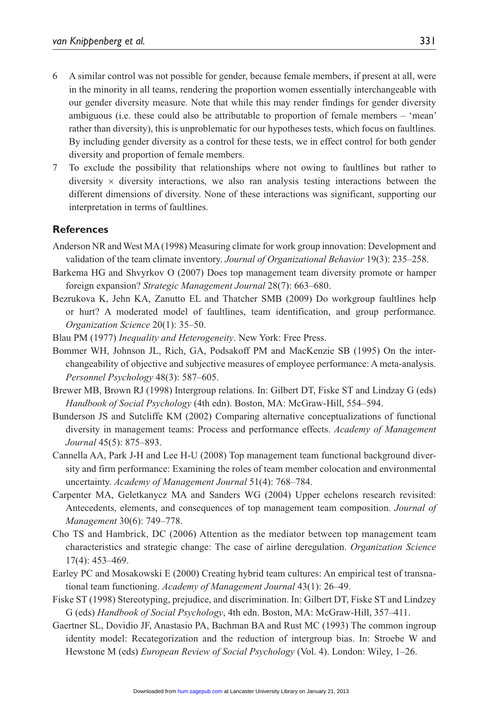- 6 A similar control was not possible for gender, because female members, if present at all, were in the minority in all teams, rendering the proportion women essentially interchangeable with our gender diversity measure. Note that while this may render findings for gender diversity ambiguous (i.e. these could also be attributable to proportion of female members  $-$  'mean' rather than diversity), this is unproblematic for our hypotheses tests, which focus on faultlines. By including gender diversity as a control for these tests, we in effect control for both gender diversity and proportion of female members.
- 7 To exclude the possibility that relationships where not owing to faultlines but rather to diversity  $\times$  diversity interactions, we also ran analysis testing interactions between the different dimensions of diversity. None of these interactions was significant, supporting our interpretation in terms of faultlines.

#### **References**

- Anderson NR and West MA (1998) Measuring climate for work group innovation: Development and validation of the team climate inventory. *Journal of Organizational Behavior* 19(3): 235–258.
- Barkema HG and Shvyrkov O (2007) Does top management team diversity promote or hamper foreign expansion? *Strategic Management Journal* 28(7): 663–680.
- Bezrukova K, Jehn KA, Zanutto EL and Thatcher SMB (2009) Do workgroup faultlines help or hurt? A moderated model of faultlines, team identification, and group performance. *Organization Science* 20(1): 35–50.
- Blau PM (1977) *Inequality and Heterogeneity*. New York: Free Press.
- Bommer WH, Johnson JL, Rich, GA, Podsakoff PM and MacKenzie SB (1995) On the interchangeability of objective and subjective measures of employee performance: A meta-analysis. *Personnel Psychology* 48(3): 587–605.
- Brewer MB, Brown RJ (1998) Intergroup relations. In: Gilbert DT, Fiske ST and Lindzay G (eds) *Handbook of Social Psychology* (4th edn). Boston, MA: McGraw-Hill, 554–594.
- Bunderson JS and Sutcliffe KM (2002) Comparing alternative conceptualizations of functional diversity in management teams: Process and performance effects. *Academy of Management Journal* 45(5): 875–893.
- Cannella AA, Park J-H and Lee H-U (2008) Top management team functional background diversity and firm performance: Examining the roles of team member colocation and environmental uncertainty. *Academy of Management Journal* 51(4): 768–784.
- Carpenter MA, Geletkanycz MA and Sanders WG (2004) Upper echelons research revisited: Antecedents, elements, and consequences of top management team composition. *Journal of Management* 30(6): 749–778.
- Cho TS and Hambrick, DC (2006) Attention as the mediator between top management team characteristics and strategic change: The case of airline deregulation. *Organization Science*  17(4): 453–469.
- Earley PC and Mosakowski E (2000) Creating hybrid team cultures: An empirical test of transnational team functioning. *Academy of Management Journal* 43(1): 26–49.
- Fiske ST (1998) Stereotyping, prejudice, and discrimination. In: Gilbert DT, Fiske ST and Lindzey G (eds) *Handbook of Social Psychology*, 4th edn. Boston, MA: McGraw-Hill, 357–411.
- Gaertner SL, Dovidio JF, Anastasio PA, Bachman BA and Rust MC (1993) The common ingroup identity model: Recategorization and the reduction of intergroup bias. In: Stroebe W and Hewstone M (eds) *European Review of Social Psychology* (Vol. 4). London: Wiley, 1–26.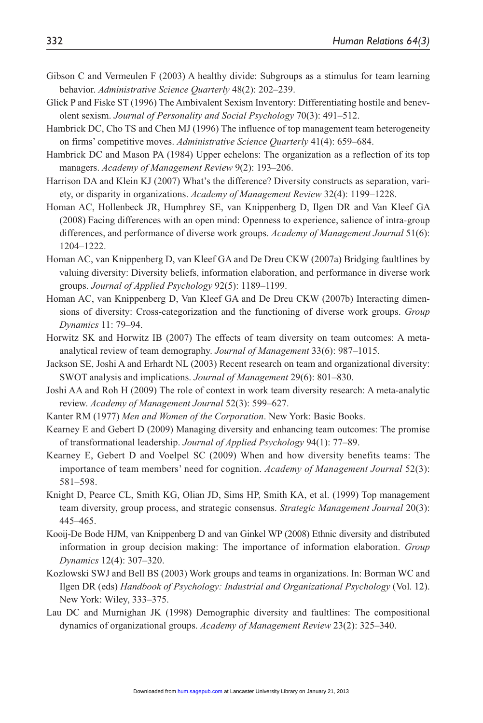- 
- Gibson C and Vermeulen F (2003) A healthy divide: Subgroups as a stimulus for team learning behavior. *Administrative Science Quarterly* 48(2): 202–239.
- Glick P and Fiske ST (1996) The Ambivalent Sexism Inventory: Differentiating hostile and benevolent sexism. *Journal of Personality and Social Psychology* 70(3): 491–512.
- Hambrick DC, Cho TS and Chen MJ (1996) The influence of top management team heterogeneity on firms' competitive moves. *Administrative Science Quarterly* 41(4): 659–684.
- Hambrick DC and Mason PA (1984) Upper echelons: The organization as a reflection of its top managers. *Academy of Management Review* 9(2): 193–206.
- Harrison DA and Klein KJ (2007) What's the difference? Diversity constructs as separation, variety, or disparity in organizations. *Academy of Management Review* 32(4): 1199–1228.
- Homan AC, Hollenbeck JR, Humphrey SE, van Knippenberg D, Ilgen DR and Van Kleef GA (2008) Facing differences with an open mind: Openness to experience, salience of intra-group differences, and performance of diverse work groups. *Academy of Management Journal* 51(6): 1204–1222.
- Homan AC, van Knippenberg D, van Kleef GA and De Dreu CKW (2007a) Bridging faultlines by valuing diversity: Diversity beliefs, information elaboration, and performance in diverse work groups. *Journal of Applied Psychology* 92(5): 1189–1199.
- Homan AC, van Knippenberg D, Van Kleef GA and De Dreu CKW (2007b) Interacting dimensions of diversity: Cross-categorization and the functioning of diverse work groups. *Group Dynamics* 11: 79–94.
- Horwitz SK and Horwitz IB (2007) The effects of team diversity on team outcomes: A metaanalytical review of team demography. *Journal of Management* 33(6): 987–1015.
- Jackson SE, Joshi A and Erhardt NL (2003) Recent research on team and organizational diversity: SWOT analysis and implications. *Journal of Management* 29(6): 801–830.
- Joshi AA and Roh H (2009) The role of context in work team diversity research: A meta-analytic review. *Academy of Management Journal* 52(3): 599–627.
- Kanter RM (1977) *Men and Women of the Corporation*. New York: Basic Books.
- Kearney E and Gebert D (2009) Managing diversity and enhancing team outcomes: The promise of transformational leadership. *Journal of Applied Psychology* 94(1): 77–89.
- Kearney E, Gebert D and Voelpel SC (2009) When and how diversity benefits teams: The importance of team members' need for cognition. *Academy of Management Journal* 52(3): 581–598.
- Knight D, Pearce CL, Smith KG, Olian JD, Sims HP, Smith KA, et al. (1999) Top management team diversity, group process, and strategic consensus. *Strategic Management Journal* 20(3): 445–465.
- Kooij-De Bode HJM, van Knippenberg D and van Ginkel WP (2008) Ethnic diversity and distributed information in group decision making: The importance of information elaboration. *Group Dynamics* 12(4): 307–320.
- Kozlowski SWJ and Bell BS (2003) Work groups and teams in organizations. In: Borman WC and Ilgen DR (eds) *Handbook of Psychology: Industrial and Organizational Psychology* (Vol. 12). New York: Wiley, 333–375.
- Lau DC and Murnighan JK (1998) Demographic diversity and faultlines: The compositional dynamics of organizational groups. *Academy of Management Review* 23(2): 325–340.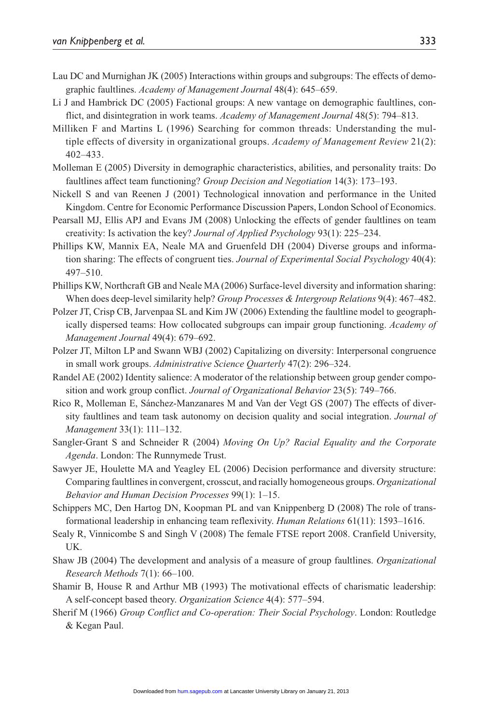- Lau DC and Murnighan JK (2005) Interactions within groups and subgroups: The effects of demographic faultlines. *Academy of Management Journal* 48(4): 645–659.
- Li J and Hambrick DC (2005) Factional groups: A new vantage on demographic faultlines, conflict, and disintegration in work teams. *Academy of Management Journal* 48(5): 794–813.
- Milliken F and Martins L (1996) Searching for common threads: Understanding the multiple effects of diversity in organizational groups. *Academy of Management Review* 21(2): 402–433.
- Molleman E (2005) Diversity in demographic characteristics, abilities, and personality traits: Do faultlines affect team functioning? *Group Decision and Negotiation* 14(3): 173–193.
- Nickell S and van Reenen J (2001) Technological innovation and performance in the United Kingdom. Centre for Economic Performance Discussion Papers, London School of Economics.
- Pearsall MJ, Ellis APJ and Evans JM (2008) Unlocking the effects of gender faultlines on team creativity: Is activation the key? *Journal of Applied Psychology* 93(1): 225–234.
- Phillips KW, Mannix EA, Neale MA and Gruenfeld DH (2004) Diverse groups and information sharing: The effects of congruent ties. *Journal of Experimental Social Psychology* 40(4): 497–510.
- Phillips KW, Northcraft GB and Neale MA (2006) Surface-level diversity and information sharing: When does deep-level similarity help? *Group Processes & Intergroup Relations* 9(4): 467–482.
- Polzer JT, Crisp CB, Jarvenpaa SL and Kim JW (2006) Extending the faultline model to geographically dispersed teams: How collocated subgroups can impair group functioning. *Academy of Management Journal* 49(4): 679–692.
- Polzer JT, Milton LP and Swann WBJ (2002) Capitalizing on diversity: Interpersonal congruence in small work groups. *Administrative Science Quarterly* 47(2): 296–324.
- Randel AE (2002) Identity salience: A moderator of the relationship between group gender composition and work group conflict. *Journal of Organizational Behavior* 23(5): 749–766.
- Rico R, Molleman E, Sánchez-Manzanares M and Van der Vegt GS (2007) The effects of diversity faultlines and team task autonomy on decision quality and social integration. *Journal of Management* 33(1): 111–132.
- Sangler-Grant S and Schneider R (2004) *Moving On Up? Racial Equality and the Corporate Agenda*. London: The Runnymede Trust.
- Sawyer JE, Houlette MA and Yeagley EL (2006) Decision performance and diversity structure: Comparing faultlines in convergent, crosscut, and racially homogeneous groups. *Organizational Behavior and Human Decision Processes* 99(1): 1–15.
- Schippers MC, Den Hartog DN, Koopman PL and van Knippenberg D (2008) The role of transformational leadership in enhancing team reflexivity. *Human Relations* 61(11): 1593–1616.
- Sealy R, Vinnicombe S and Singh V (2008) The female FTSE report 2008. Cranfield University, UK.
- Shaw JB (2004) The development and analysis of a measure of group faultlines. *Organizational Research Methods* 7(1): 66–100.
- Shamir B, House R and Arthur MB (1993) The motivational effects of charismatic leadership: A self-concept based theory. *Organization Science* 4(4): 577–594.
- Sherif M (1966) *Group Conflict and Co-operation: Their Social Psychology*. London: Routledge & Kegan Paul.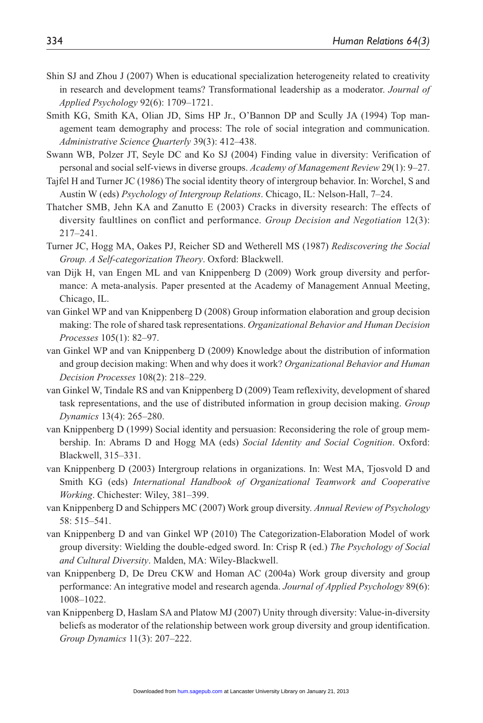- Shin SJ and Zhou J (2007) When is educational specialization heterogeneity related to creativity in research and development teams? Transformational leadership as a moderator. *Journal of Applied Psychology* 92(6): 1709–1721.
- Smith KG, Smith KA, Olian JD, Sims HP Jr., O'Bannon DP and Scully JA (1994) Top management team demography and process: The role of social integration and communication. *Administrative Science Quarterly* 39(3): 412–438.
- Swann WB, Polzer JT, Seyle DC and Ko SJ (2004) Finding value in diversity: Verification of personal and social self-views in diverse groups. *Academy of Management Review* 29(1): 9–27.
- Tajfel H and Turner JC (1986) The social identity theory of intergroup behavior. In: Worchel, S and Austin W (eds) *Psychology of Intergroup Relations*. Chicago, IL: Nelson-Hall, 7–24.
- Thatcher SMB, Jehn KA and Zanutto E (2003) Cracks in diversity research: The effects of diversity faultlines on conflict and performance. *Group Decision and Negotiation* 12(3): 217–241.
- Turner JC, Hogg MA, Oakes PJ, Reicher SD and Wetherell MS (1987) *Rediscovering the Social Group. A Self-categorization Theory*. Oxford: Blackwell.
- van Dijk H, van Engen ML and van Knippenberg D (2009) Work group diversity and performance: A meta-analysis. Paper presented at the Academy of Management Annual Meeting, Chicago, IL.
- van Ginkel WP and van Knippenberg D (2008) Group information elaboration and group decision making: The role of shared task representations. *Organizational Behavior and Human Decision Processes* 105(1): 82–97.
- van Ginkel WP and van Knippenberg D (2009) Knowledge about the distribution of information and group decision making: When and why does it work? *Organizational Behavior and Human Decision Processes* 108(2): 218–229.
- van Ginkel W, Tindale RS and van Knippenberg D (2009) Team reflexivity, development of shared task representations, and the use of distributed information in group decision making. *Group Dynamics* 13(4): 265–280.
- van Knippenberg D (1999) Social identity and persuasion: Reconsidering the role of group membership. In: Abrams D and Hogg MA (eds) *Social Identity and Social Cognition*. Oxford: Blackwell, 315–331.
- van Knippenberg D (2003) Intergroup relations in organizations. In: West MA, Tjosvold D and Smith KG (eds) *International Handbook of Organizational Teamwork and Cooperative Working*. Chichester: Wiley, 381–399.
- van Knippenberg D and Schippers MC (2007) Work group diversity. *Annual Review of Psychology*  58: 515–541.
- van Knippenberg D and van Ginkel WP (2010) The Categorization-Elaboration Model of work group diversity: Wielding the double-edged sword. In: Crisp R (ed.) *The Psychology of Social and Cultural Diversity*. Malden, MA: Wiley-Blackwell.
- van Knippenberg D, De Dreu CKW and Homan AC (2004a) Work group diversity and group performance: An integrative model and research agenda. *Journal of Applied Psychology* 89(6): 1008–1022.
- van Knippenberg D, Haslam SA and Platow MJ (2007) Unity through diversity: Value-in-diversity beliefs as moderator of the relationship between work group diversity and group identification. *Group Dynamics* 11(3): 207–222.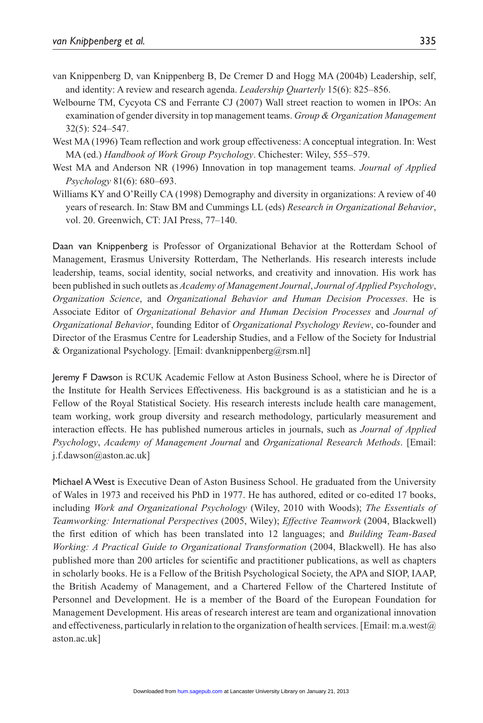- van Knippenberg D, van Knippenberg B, De Cremer D and Hogg MA (2004b) Leadership, self, and identity: A review and research agenda. *Leadership Quarterly* 15(6): 825–856.
- Welbourne TM, Cycyota CS and Ferrante CJ (2007) Wall street reaction to women in IPOs: An examination of gender diversity in top management teams. *Group & Organization Management*  32(5): 524–547.
- West MA (1996) Team reflection and work group effectiveness: A conceptual integration. In: West MA (ed.) *Handbook of Work Group Psychology*. Chichester: Wiley, 555–579.
- West MA and Anderson NR (1996) Innovation in top management teams. *Journal of Applied Psychology* 81(6): 680–693.
- Williams KY and O'Reilly CA (1998) Demography and diversity in organizations: A review of 40 years of research. In: Staw BM and Cummings LL (eds) *Research in Organizational Behavior*, vol. 20. Greenwich, CT: JAI Press, 77–140.

Daan van Knippenberg is Professor of Organizational Behavior at the Rotterdam School of Management, Erasmus University Rotterdam, The Netherlands. His research interests include leadership, teams, social identity, social networks, and creativity and innovation. His work has been published in such outlets as *Academy of Management Journal*, *Journal of Applied Psychology*, *Organization Science*, and *Organizational Behavior and Human Decision Processes*. He is Associate Editor of *Organizational Behavior and Human Decision Processes* and *Journal of Organizational Behavior*, founding Editor of *Organizational Psychology Review*, co-founder and Director of the Erasmus Centre for Leadership Studies, and a Fellow of the Society for Industrial & Organizational Psychology. [Email: dvanknippenberg@rsm.nl]

Jeremy F Dawson is RCUK Academic Fellow at Aston Business School, where he is Director of the Institute for Health Services Effectiveness. His background is as a statistician and he is a Fellow of the Royal Statistical Society. His research interests include health care management, team working, work group diversity and research methodology, particularly measurement and interaction effects. He has published numerous articles in journals, such as *Journal of Applied Psychology*, *Academy of Management Journal* and *Organizational Research Methods*. [Email: j.f.dawson@aston.ac.uk]

Michael A West is Executive Dean of Aston Business School. He graduated from the University of Wales in 1973 and received his PhD in 1977. He has authored, edited or co-edited 17 books, including *Work and Organizational Psychology* (Wiley, 2010 with Woods); *The Essentials of Teamworking: International Perspectives* (2005, Wiley); *Effective Teamwork* (2004, Blackwell) the first edition of which has been translated into 12 languages; and *Building Team-Based Working: A Practical Guide to Organizational Transformation* (2004, Blackwell). He has also published more than 200 articles for scientific and practitioner publications, as well as chapters in scholarly books. He is a Fellow of the British Psychological Society, the APA and SIOP, IAAP, the British Academy of Management, and a Chartered Fellow of the Chartered Institute of Personnel and Development. He is a member of the Board of the European Foundation for Management Development. His areas of research interest are team and organizational innovation and effectiveness, particularly in relation to the organization of health services. [Email: m.a.west@ aston.ac.uk]